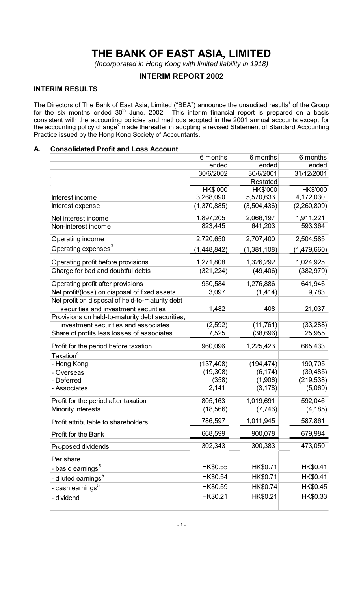# THE BANK OF EAST ASIA, LIMITED

(Incorporated in Hong Kong with limited liability in 1918)

# **INTERIM REPORT 2002**

### **INTERIM RESULTS**

The Directors of The Bank of East Asia, Limited ("BEA") announce the unaudited results<sup>1</sup> of the Group for the six months ended  $30<sup>th</sup>$  June, 2002. This interim financial report is prepared on a basis consistent with the accounting policies and methods adopted in the 2001 annual accounts except for the accounting policy change<sup>2</sup> made thereafter in adopting a revised Statement of Standard Accounting Practice issued by the Hong Kong Society of Accountants.

#### A. **Consolidated Profit and Loss Account**

|                                                 | 6 months      | 6 months    | 6 months    |
|-------------------------------------------------|---------------|-------------|-------------|
|                                                 | ended         | ended       | ended       |
|                                                 | 30/6/2002     | 30/6/2001   | 31/12/2001  |
|                                                 |               | Restated    |             |
|                                                 | HK\$'000      | HK\$'000    | HK\$'000    |
| Interest income                                 | 3,268,090     | 5,570,633   | 4,172,030   |
| Interest expense                                | (1,370,885)   | (3,504,436) | (2,260,809) |
| Net interest income                             | 1,897,205     | 2,066,197   | 1,911,221   |
| Non-interest income                             | 823,445       | 641,203     | 593,364     |
| Operating income                                | 2,720,650     | 2,707,400   | 2,504,585   |
| Operating expenses <sup>3</sup>                 | (1, 448, 842) | (1,381,108) | (1,479,660) |
| Operating profit before provisions              | 1,271,808     | 1,326,292   | 1,024,925   |
| Charge for bad and doubtful debts               | (321, 224)    | (49, 406)   | (382, 979)  |
| Operating profit after provisions               | 950,584       | 1,276,886   | 641,946     |
| Net profit/(loss) on disposal of fixed assets   | 3,097         | (1, 414)    | 9,783       |
| Net profit on disposal of held-to-maturity debt |               |             |             |
| securities and investment securities            | 1,482         | 408         | 21,037      |
| Provisions on held-to-maturity debt securities, |               |             |             |
| investment securities and associates            | (2,592)       | (11, 761)   | (33, 288)   |
| Share of profits less losses of associates      | 7,525         | (38, 696)   | 25,955      |
| Profit for the period before taxation           | 960,096       | 1,225,423   | 665,433     |
| Taxation $^4$                                   |               |             |             |
| - Hong Kong                                     | (137, 408)    | (194, 474)  | 190,705     |
| - Overseas                                      | (19, 308)     | (6, 174)    | (39, 485)   |
| - Deferred                                      | (358)         | (1,906)     | (219, 538)  |
| - Associates                                    | 2,141         | (3, 178)    | (5,069)     |
| Profit for the period after taxation            | 805,163       | 1,019,691   | 592,046     |
| Minority interests                              | (18, 566)     | (7, 746)    | (4, 185)    |
| Profit attributable to shareholders             | 786,597       | 1,011,945   | 587,861     |
| Profit for the Bank                             | 668,599       | 900,078     | 679,984     |
| Proposed dividends                              | 302,343       | 300,383     | 473,050     |
| Per share                                       |               |             |             |
| - basic earnings <sup>5</sup>                   | HK\$0.55      | HK\$0.71    | HK\$0.41    |
| - diluted earnings <sup>5</sup>                 | HK\$0.54      | HK\$0.71    | HK\$0.41    |
| - cash earnings <sup>5</sup>                    | HK\$0.59      | HK\$0.74    | HK\$0.45    |
| - dividend                                      | HK\$0.21      | HK\$0.21    | HK\$0.33    |
|                                                 |               |             |             |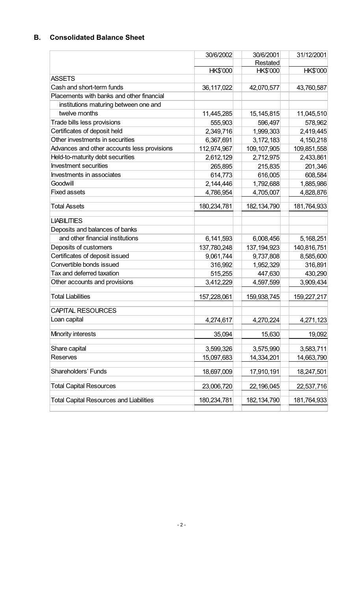# **B.** Consolidated Balance Sheet

|                                                | 30/6/2002       | 30/6/2001       | 31/12/2001  |
|------------------------------------------------|-----------------|-----------------|-------------|
|                                                |                 | Restated        |             |
|                                                | <b>HK\$'000</b> | <b>HK\$'000</b> | HK\$'000    |
| <b>ASSETS</b>                                  |                 |                 |             |
| Cash and short-term funds                      | 36,117,022      | 42,070,577      | 43,760,587  |
| Placements with banks and other financial      |                 |                 |             |
| institutions maturing between one and          |                 |                 |             |
| twelve months                                  | 11,445,285      | 15, 145, 815    | 11,045,510  |
| Trade bills less provisions                    | 555,903         | 596,497         | 578,962     |
| Certificates of deposit held                   | 2,349,716       | 1,999,303       | 2,419,445   |
| Other investments in securities                | 6,367,691       | 3,172,183       | 4,150,218   |
| Advances and other accounts less provisions    | 112,974,967     | 109, 107, 905   | 109,851,558 |
| Held-to-maturity debt securities               | 2,612,129       | 2,712,975       | 2,433,861   |
| <b>Investment securities</b>                   | 265,895         | 215,835         | 201,346     |
| <b>Investments in associates</b>               | 614,773         | 616,005         | 608,584     |
| Goodwill                                       | 2,144,446       | 1,792,688       | 1,885,986   |
| <b>Fixed assets</b>                            | 4,786,954       | 4,705,007       | 4,828,876   |
| <b>Total Assets</b>                            | 180,234,781     | 182, 134, 790   | 181,764,933 |
| <b>LIABILITIES</b>                             |                 |                 |             |
| Deposits and balances of banks                 |                 |                 |             |
| and other financial institutions               | 6,141,593       | 6,008,456       | 5,168,251   |
| Deposits of customers                          | 137,780,248     | 137, 194, 923   | 140,816,751 |
| Certificates of deposit issued                 | 9,061,744       | 9,737,808       | 8,585,600   |
| Convertible bonds issued                       | 316,992         | 1,952,329       | 316,891     |
| Tax and deferred taxation                      | 515,255         | 447,630         | 430,290     |
| Other accounts and provisions                  | 3,412,229       | 4,597,599       | 3,909,434   |
| <b>Total Liabilities</b>                       | 157,228,061     | 159,938,745     | 159,227,217 |
| CAPITAL RESOURCES                              |                 |                 |             |
| Loan capital                                   | 4,274,617       | 4,270,224       | 4,271,123   |
| Minority interests                             | 35,094          | 15,630          | 19,092      |
| Share capital                                  | 3,599,326       | 3,575,990       | 3,583,711   |
| <b>Reserves</b>                                | 15,097,683      | 14,334,201      | 14,663,790  |
| <b>Shareholders' Funds</b>                     | 18,697,009      | 17,910,191      | 18,247,501  |
| <b>Total Capital Resources</b>                 | 23,006,720      | 22,196,045      | 22,537,716  |
| <b>Total Capital Resources and Liabilities</b> | 180,234,781     | 182, 134, 790   | 181,764,933 |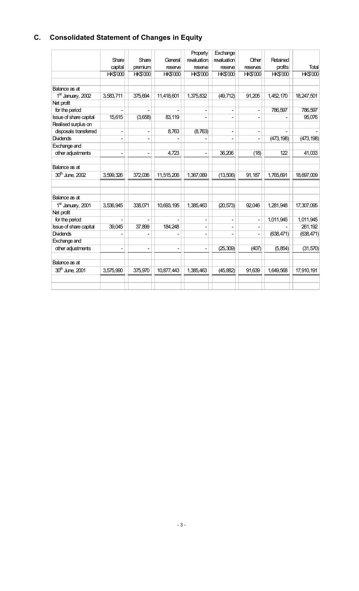# C. Consolidated Statement of Changes in Equity

|                               |                 |                 |                 | Property        | Exchange        |          |                 |                 |
|-------------------------------|-----------------|-----------------|-----------------|-----------------|-----------------|----------|-----------------|-----------------|
|                               | Share           | Share           | General         | revaluation     | revaluation     | Other    | Retained        |                 |
|                               | capital         | premium         | reserve         | reserve         | reserve         | reserves | profits         | Total           |
|                               | <b>HK\$'000</b> | <b>HK\$'000</b> | <b>HK\$'000</b> | <b>HK\$'000</b> | <b>HK\$'000</b> | HK\$'000 | <b>HK\$'000</b> | <b>HK\$'000</b> |
| Balance as at                 |                 |                 |                 |                 |                 |          |                 |                 |
| 1 <sup>st</sup> January, 2002 | 3,583,711       | 375,694         | 11,418,601      | 1,375,832       | (49, 712)       | 91,205   | 1,452,170       | 18,247,501      |
| Net profit                    |                 |                 |                 |                 |                 |          |                 |                 |
| for the period                |                 |                 |                 | ٠               | ٠               |          | 786,597         | 786,597         |
| Issue of share capital        | 15,615          | (3,658)         | 83,119          |                 |                 |          |                 | 95,076          |
| Realised surplus on           |                 |                 |                 |                 |                 |          |                 |                 |
| disposals transferred         |                 | $\blacksquare$  | 8,763           | (8,763)         | ä,              |          |                 |                 |
| <b>Dividends</b>              |                 |                 |                 |                 |                 |          | (473, 198)      | (473, 198)      |
| Exchange and                  |                 |                 |                 |                 |                 |          |                 |                 |
| other adjustments             |                 |                 | 4,723           |                 | 36,206          | (18)     | 122             | 41,033          |
| Balance as at                 |                 |                 |                 |                 |                 |          |                 |                 |
| 30 <sup>th</sup> June, 2002   | 3,599,326       | 372,036         | 11,515,206      | 1,367,069       | (13,506)        | 91,187   | 1,765,691       | 18,697,009      |
|                               |                 |                 |                 |                 |                 |          |                 |                 |
| Balance as at                 |                 |                 |                 |                 |                 |          |                 |                 |
| 1st January, 2001             | 3,536,945       | 338,071         | 10,693,195      | 1,385,463       | (20, 573)       | 92,046   | 1,281,948       | 17,307,095      |
| Net profit                    |                 |                 |                 |                 |                 |          |                 |                 |
| for the period                |                 |                 |                 |                 |                 |          | 1,011,945       | 1,011,945       |
| Issue of share capital        | 39,045          | 37,899          | 184,248         | ٠               | ٠               |          |                 | 261,192         |
| Dividends                     |                 |                 |                 |                 |                 |          | (638, 471)      | (638, 471)      |
| Exchange and                  |                 |                 |                 |                 |                 |          |                 |                 |
| other adjustments             | $\blacksquare$  | $\blacksquare$  | $\overline{a}$  | ٠               | (25, 309)       | (407)    | (5,854)         | (31,570)        |
| Balance as at                 |                 |                 |                 |                 |                 |          |                 |                 |
| 30 <sup>th</sup> June, 2001   | 3,575,990       | 375,970         | 10,877,443      | 1,385,463       | (45, 882)       | 91,639   | 1,649,568       | 17,910,191      |
|                               |                 |                 |                 |                 |                 |          |                 |                 |
|                               |                 |                 |                 |                 |                 |          |                 |                 |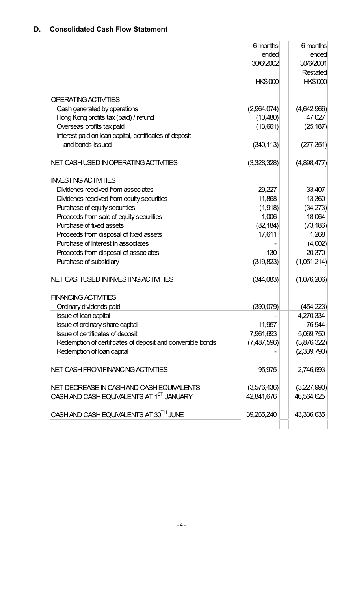# **D.** Consolidated Cash Flow Statement

|                                                             | 6 months        | 6 months        |
|-------------------------------------------------------------|-----------------|-----------------|
|                                                             | ended           | ended           |
|                                                             | 30/6/2002       | 30/6/2001       |
|                                                             |                 | <b>Restated</b> |
|                                                             | <b>HK\$'000</b> | <b>HK\$'000</b> |
|                                                             |                 |                 |
| <b>OPERATING ACTIVITIES</b>                                 |                 |                 |
| Cash generated by operations                                | (2,964,074)     | (4,642,966)     |
| Hong Kong profits tax (paid) / refund                       | (10,480)        | 47,027          |
| Overseas profits tax paid                                   | (13,661)        | (25, 187)       |
| Interest paid on loan capital, certificates of deposit      |                 |                 |
| and bonds issued                                            | (340, 113)      | (277, 351)      |
|                                                             |                 |                 |
| NET CASH USED IN OPERATING ACTIVITIES                       | (3,328,328)     | (4,898,477)     |
| <b>INVESTING ACTIVITIES</b>                                 |                 |                 |
| Dividends received from associates                          | 29,227          | 33,407          |
| Dividends received from equity securities                   | 11,868          | 13,360          |
| Purchase of equity securities                               | (1,918)         | (34,273)        |
| Proceeds from sale of equity securities                     | 1,006           | 18,064          |
| Purchase of fixed assets                                    | (82, 184)       | (73, 186)       |
| Proceeds from disposal of fixed assets                      | 17,611          | 1,268           |
| Purchase of interest in associates                          |                 | (4,002)         |
| Proceeds from disposal of associates                        | 130             | 20,370          |
| Purchase of subsidiary                                      | (319, 823)      | (1,051,214)     |
|                                                             |                 |                 |
| NET CASH USED IN INVESTING ACTIVITIES                       | (344,083)       | (1,076,206)     |
| <b>FINANCING ACTIVITIES</b>                                 |                 |                 |
| Ordinary dividends paid                                     | (390,079)       | (454,223)       |
| <b>Issue of loan capital</b>                                |                 | 4,270,334       |
| Issue of ordinary share capital                             | 11,957          | 76,944          |
| Issue of certificates of deposit                            | 7,961,693       | 5,069,750       |
| Redemption of certificates of deposit and convertible bonds | (7,487,596)     | (3,876,322)     |
| Redemption of loan capital                                  |                 | (2,339,790)     |
|                                                             |                 |                 |
| NET CASH FROM FINANCING ACTIVITIES                          | 95,975          | 2,746,693       |
|                                                             |                 |                 |
| NET DECREASE IN CASH AND CASH EQUIVALENTS                   | (3,576,436)     | (3,227,990)     |
| CASH AND CASH EQUIVALENTS AT 1 <sup>ST</sup> JANUARY        | 42,841,676      | 46,564,625      |
|                                                             |                 |                 |
| CASH AND CASH EQUIVALENTS AT 30 <sup>TH</sup> JUNE          | 39,265,240      | 43,336,635      |
|                                                             |                 |                 |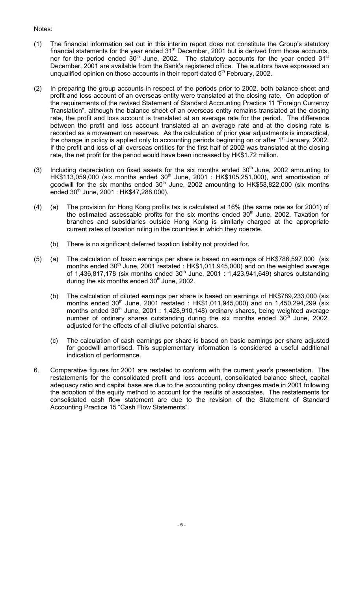### Notes:

- The financial information set out in this interim report does not constitute the Group's statutory  $(1)$ financial statements for the year ended  $31<sup>st</sup>$  December, 2001 but is derived from those accounts, nor for the period ended  $30<sup>th</sup>$  June, 2002. The statutory accounts for the year ended  $31<sup>st</sup>$ December, 2001 are available from the Bank's registered office. The auditors have expressed an unqualified opinion on those accounts in their report dated 5<sup>th</sup> February, 2002.
- $(2)$ In preparing the group accounts in respect of the periods prior to 2002, both balance sheet and profit and loss account of an overseas entity were translated at the closing rate. On adoption of the requirements of the revised Statement of Standard Accounting Practice 11 "Foreign Currency Translation", although the balance sheet of an overseas entity remains translated at the closing rate, the profit and loss account is translated at an average rate for the period. The difference between the profit and loss account translated at an average rate and at the closing rate is recorded as a movement on reserves. As the calculation of prior year adjustments is impractical, the change in policy is applied only to accounting periods beginning on or after 1<sup>st</sup> January, 2002. If the profit and loss of all overseas entities for the first half of 2002 was translated at the closing rate, the net profit for the period would have been increased by HK\$1.72 million.
- Including depreciation on fixed assets for the six months ended 30<sup>th</sup> June, 2002 amounting to HK\$113,059,000 (six months ended 30<sup>th</sup> June, 2001 : HK\$105,251,000), and amortisation of  $(3)$ goodwill for the six months ended 30<sup>th</sup> June, 2002 amounting to HK\$58,822,000 (six months ended 30<sup>th</sup> June, 2001 : HK\$47,288,000).
- $(4)$  $(a)$ The provision for Hong Kong profits tax is calculated at 16% (the same rate as for 2001) of the estimated assessable profits for the six months ended  $30<sup>th</sup>$  June, 2002. Taxation for branches and subsidiaries outside Hong Kong is similarly charged at the appropriate current rates of taxation ruling in the countries in which they operate.
	- $(b)$ There is no significant deferred taxation liability not provided for.
- The calculation of basic earnings per share is based on earnings of HK\$786,597,000 (six  $(5)$  $(a)$ months ended 30<sup>th</sup> June, 2001 restated : HK\$1,011,945,000) and on the weighted average of 1,436,817,178 (six months ended 30<sup>th</sup> June, 2001 : 1,423,941,649) shares outstanding during the six months ended 30<sup>th</sup> June, 2002.
	- $(b)$ The calculation of diluted earnings per share is based on earnings of HK\$789,233,000 (six months ended 30<sup>th</sup> June, 2001 restated : HK\$1,011,945,000) and on 1,450,294,299 (six months ended 30<sup>th</sup> June, 2001 : 1,428,910,148) ordinary shares, being weighted average number of ordinary shares outstanding during the six months ended 30<sup>th</sup> June, 2002, adjusted for the effects of all dilutive potential shares.
	- $(c)$ The calculation of cash earnings per share is based on basic earnings per share adjusted for goodwill amortised. This supplementary information is considered a useful additional indication of performance.
- 6. Comparative figures for 2001 are restated to conform with the current year's presentation. The restatements for the consolidated profit and loss account, consolidated balance sheet, capital adequacy ratio and capital base are due to the accounting policy changes made in 2001 following the adoption of the equity method to account for the results of associates. The restatements for consolidated cash flow statement are due to the revision of the Statement of Standard Accounting Practice 15 "Cash Flow Statements".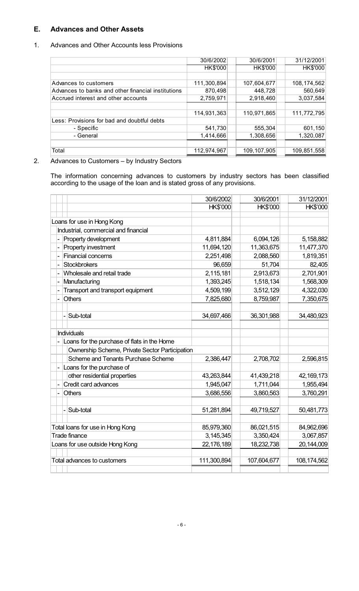#### E. **Advances and Other Assets**

#### $1.$ Advances and Other Accounts less Provisions

|                                                    | 30/6/2002   | 30/6/2001     | 31/12/2001    |
|----------------------------------------------------|-------------|---------------|---------------|
|                                                    | HK\$'000    | HK\$'000      | HK\$'000      |
|                                                    |             |               |               |
| Advances to customers                              | 111,300,894 | 107,604,677   | 108, 174, 562 |
| Advances to banks and other financial institutions | 870,498     | 448,728       | 560,649       |
| Accrued interest and other accounts                | 2,759,971   | 2,918,460     | 3,037,584     |
|                                                    |             |               |               |
|                                                    | 114,931,363 | 110,971,865   | 111,772,795   |
| Less: Provisions for bad and doubtful debts        |             |               |               |
| - Specific                                         | 541.730     | 555,304       | 601,150       |
| - General                                          | 1,414,666   | 1,308,656     | 1,320,087     |
|                                                    |             |               |               |
| Total                                              | 112,974,967 | 109, 107, 905 | 109,851,558   |

 $2.$ Advances to Customers - by Industry Sectors

The information concerning advances to customers by industry sectors has been classified according to the usage of the loan and is stated gross of any provisions.

|  |                                             |                                                | 30/6/2002       | 30/6/2001       | 31/12/2001      |
|--|---------------------------------------------|------------------------------------------------|-----------------|-----------------|-----------------|
|  |                                             |                                                | <b>HK\$'000</b> | <b>HK\$'000</b> | <b>HK\$'000</b> |
|  |                                             |                                                |                 |                 |                 |
|  | Loans for use in Hong Kong                  |                                                |                 |                 |                 |
|  | Industrial, commercial and financial        |                                                |                 |                 |                 |
|  | Property development                        |                                                | 4,811,884       | 6,094,126       | 5,158,882       |
|  | Property investment                         |                                                | 11,694,120      | 11,363,675      | 11,477,370      |
|  | Financial concerns                          |                                                | 2,251,498       | 2,088,560       | 1,819,351       |
|  | <b>Stockbrokers</b>                         |                                                | 96,659          | 51,704          | 82,405          |
|  | Wholesale and retail trade                  |                                                | 2,115,181       | 2,913,673       | 2,701,901       |
|  | Manufacturing                               |                                                | 1,393,245       | 1,518,134       | 1,568,309       |
|  | Transport and transport equipment           |                                                | 4,509,199       | 3,512,129       | 4,322,030       |
|  | <b>Others</b>                               |                                                | 7,825,680       | 8,759,987       | 7,350,675       |
|  |                                             |                                                |                 |                 |                 |
|  | Sub-total                                   |                                                | 34,697,466      | 36,301,988      | 34,480,923      |
|  |                                             |                                                |                 |                 |                 |
|  | <b>Individuals</b>                          |                                                |                 |                 |                 |
|  | Loans for the purchase of flats in the Home |                                                |                 |                 |                 |
|  |                                             | Ownership Scheme, Private Sector Participation |                 |                 |                 |
|  | Scheme and Tenants Purchase Scheme          |                                                | 2,386,447       | 2,708,702       | 2,596,815       |
|  | Loans for the purchase of                   |                                                |                 |                 |                 |
|  | other residential properties                |                                                | 43,263,844      | 41,439,218      | 42, 169, 173    |
|  | Credit card advances                        |                                                | 1,945,047       | 1,711,044       | 1,955,494       |
|  | <b>Others</b>                               |                                                | 3,686,556       | 3,860,563       | 3,760,291       |
|  |                                             |                                                |                 |                 |                 |
|  | Sub-total                                   |                                                | 51,281,894      | 49,719,527      | 50,481,773      |
|  |                                             |                                                |                 |                 |                 |
|  | Total loans for use in Hong Kong            |                                                | 85,979,360      | 86,021,515      | 84,962,696      |
|  | <b>Trade finance</b>                        |                                                | 3,145,345       | 3,350,424       | 3,067,857       |
|  | Loans for use outside Hong Kong             |                                                | 22, 176, 189    | 18,232,738      | 20,144,009      |
|  |                                             |                                                |                 |                 |                 |
|  | Total advances to customers                 |                                                | 111,300,894     | 107,604,677     | 108, 174, 562   |
|  |                                             |                                                |                 |                 |                 |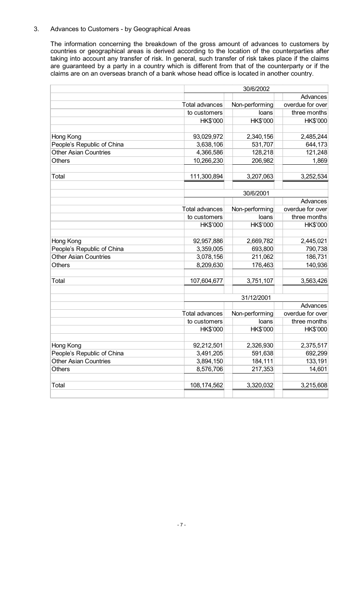#### $3.$ Advances to Customers - by Geographical Areas

The information concerning the breakdown of the gross amount of advances to customers by countries or geographical areas is derived according to the location of the counterparties after taking into account any transfer of risk. In general, such transfer of risk takes place if the claims are guaranteed by a party in a country which is different from that of the counterparty or if the claims are on an overseas branch of a bank whose head office is located in another country.

|                              |                       | 30/6/2002      |                  |  |  |
|------------------------------|-----------------------|----------------|------------------|--|--|
|                              |                       |                | Advances         |  |  |
|                              | <b>Total advances</b> | Non-performing | overdue for over |  |  |
|                              | to customers          | loans          | three months     |  |  |
|                              | HK\$'000              | HK\$'000       | HK\$'000         |  |  |
|                              |                       |                |                  |  |  |
| Hong Kong                    | 93,029,972            | 2,340,156      | 2,485,244        |  |  |
| People's Republic of China   | 3,638,106             | 531,707        | 644,173          |  |  |
| <b>Other Asian Countries</b> | 4,366,586             | 128,218        | 121,248          |  |  |
| Others                       | 10,266,230            | 206,982        | 1,869            |  |  |
|                              |                       |                |                  |  |  |
| Total                        | 111,300,894           | 3,207,063      | 3,252,534        |  |  |
|                              |                       |                |                  |  |  |
|                              |                       | 30/6/2001      |                  |  |  |
|                              |                       |                | Advances         |  |  |
|                              | Total advances        | Non-performing | overdue for over |  |  |
|                              | to customers          | loans          | three months     |  |  |
|                              | HK\$'000              | HK\$'000       | HK\$'000         |  |  |
|                              |                       |                |                  |  |  |
| Hong Kong                    | 92,957,886            | 2,669,782      | 2,445,021        |  |  |
| People's Republic of China   | 3,359,005             | 693,800        | 790,738          |  |  |
| <b>Other Asian Countries</b> | 3,078,156             | 211,062        | 186,731          |  |  |
| Others                       | 8,209,630             | 176,463        | 140,936          |  |  |
|                              |                       |                |                  |  |  |
| Total                        | 107,604,677           | 3,751,107      | 3,563,426        |  |  |
|                              |                       |                |                  |  |  |
|                              |                       | 31/12/2001     |                  |  |  |
|                              |                       |                | Advances         |  |  |
|                              | <b>Total advances</b> | Non-performing | overdue for over |  |  |
|                              | to customers          | loans          | three months     |  |  |
|                              | HK\$'000              | HK\$'000       | HK\$'000         |  |  |
|                              |                       |                |                  |  |  |
| Hong Kong                    | 92,212,501            | 2,326,930      | 2,375,517        |  |  |
| People's Republic of China   | 3,491,205             | 591,638        | 692,299          |  |  |
| <b>Other Asian Countries</b> | 3,894,150             | 184,111        | 133,191          |  |  |
| Others                       | 8,576,706             | 217,353        | 14,601           |  |  |
|                              |                       |                |                  |  |  |
| Total                        | 108,174,562           | 3,320,032      | 3,215,608        |  |  |
|                              |                       |                |                  |  |  |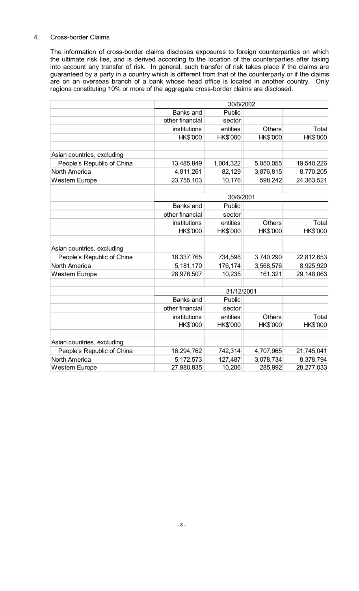#### 4. **Cross-border Claims**

The information of cross-border claims discloses exposures to foreign counterparties on which the ultimate risk lies, and is derived according to the location of the counterparties after taking<br>into account any transfer of risk. In general, such transfer of risk takes place if the claims are guaranteed by a party in a country which is different from that of the counterparty or if the claims are on an overseas branch of a bank whose head office is located in another country. Only regions constituting 10% or more of the aggregate cross-border claims are disclosed.

|                            | 30/6/2002        |            |           |                 |  |
|----------------------------|------------------|------------|-----------|-----------------|--|
|                            | <b>Banks and</b> | Public     |           |                 |  |
|                            | other financial  | sector     |           |                 |  |
|                            | institutions     | entities   | Others    | Total           |  |
|                            | HK\$'000         | HK\$'000   | HK\$'000  | <b>HK\$'000</b> |  |
| Asian countries, excluding |                  |            |           |                 |  |
| People's Republic of China |                  | 1,004,322  |           |                 |  |
|                            | 13,485,849       |            | 5,050,055 | 19,540,226      |  |
| North America              | 4,811,261        | 82,129     | 3,876,815 | 8,770,205       |  |
| <b>Western Europe</b>      | 23,755,103       | 10,176     | 598,242   | 24,363,521      |  |
|                            |                  | 30/6/2001  |           |                 |  |
|                            | <b>Banks and</b> | Public     |           |                 |  |
|                            | other financial  | sector     |           |                 |  |
|                            | institutions     | entities   | Others    | Total           |  |
|                            | HK\$'000         | HK\$'000   | HK\$'000  | <b>HK\$'000</b> |  |
| Asian countries, excluding |                  |            |           |                 |  |
| People's Republic of China | 18,337,765       | 734,598    | 3,740,290 | 22,812,653      |  |
| North America              | 5,181,170        | 176,174    | 3,568,576 | 8,925,920       |  |
| <b>Western Europe</b>      | 28,976,507       | 10,235     | 161,321   | 29,148,063      |  |
|                            |                  |            |           |                 |  |
|                            |                  | 31/12/2001 |           |                 |  |
|                            | Banks and        | Public     |           |                 |  |
|                            | other financial  | sector     |           |                 |  |
|                            | institutions     | entities   | Others    | Total           |  |
|                            | HK\$'000         | HK\$'000   | HK\$'000  | <b>HK\$'000</b> |  |
| Asian countries, excluding |                  |            |           |                 |  |
| People's Republic of China | 16,294,762       | 742,314    | 4,707,965 | 21,745,041      |  |
| North America              | 5,172,573        | 127,487    | 3,078,734 | 8,378,794       |  |
| <b>Western Europe</b>      | 27,980,835       | 10,206     | 285,992   | 28,277,033      |  |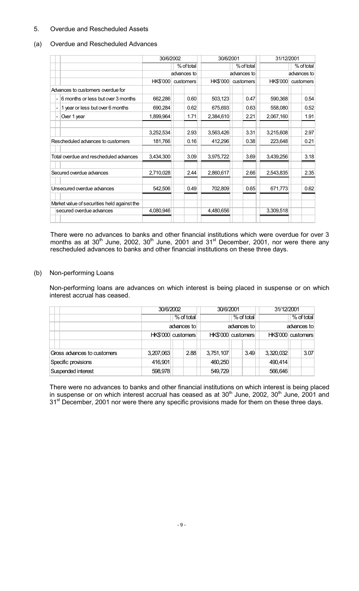#### 5. Overdue and Rescheduled Assets

#### Overdue and Rescheduled Advances  $(a)$

|                                             | 30/6/2001<br>30/6/2002 |  | 31/12/2001  |           |             |           |             |
|---------------------------------------------|------------------------|--|-------------|-----------|-------------|-----------|-------------|
|                                             |                        |  | % of total  |           | % of total  |           | % of total  |
|                                             |                        |  | advances to |           | advances to |           | advances to |
|                                             | HK\$'000               |  | customers   | HK\$'000  | customers   | HK\$'000  | customers   |
| Advances to customers overdue for           |                        |  |             |           |             |           |             |
| 6 months or less but over 3 months          | 662,286                |  | 0.60        | 503,123   | 0.47        | 590,368   | 0.54        |
| 1 year or less but over 6 months            | 690,284                |  | 0.62        | 675,693   | 0.63        | 558,080   | 0.52        |
| Over 1 year                                 | 1,899,964              |  | 1.71        | 2,384,610 | 2.21        | 2,067,160 | 1.91        |
|                                             | 3,252,534              |  | 2.93        | 3,563,426 | 3.31        | 3,215,608 | 2.97        |
| Rescheduled advances to customers           | 181,766                |  | 0.16        | 412,296   | 0.38        | 223,648   | 0.21        |
| Total overdue and rescheduled advances      | 3,434,300              |  | 3.09        | 3,975,722 | 3.69        | 3,439,256 | 3.18        |
| Secured overdue advances                    | 2,710,028              |  | 2.44        | 2,860,617 | 2.66        | 2,543,835 | 2.35        |
| Unsecured overdue advances                  | 542,506                |  | 0.49        | 702,809   | 0.65        | 671,773   | 0.62        |
| Market value of securities held against the |                        |  |             |           |             |           |             |
| secured overdue advances                    | 4,080,946              |  |             | 4,480,656 |             | 3,309,518 |             |

There were no advances to banks and other financial institutions which were overdue for over 3 months as at 30<sup>th</sup> June, 2002, 30<sup>th</sup> June, 2001 and 31<sup>st</sup> December, 2001, nor were there any rescheduled advances to banks and other financial institutions on these three days.

### (b) Non-performing Loans

Non-performing loans are advances on which interest is being placed in suspense or on which interest accrual has ceased.

|                             | 30/6/2002   |  | 30/6/2001                                |             |  | 31/12/2001         |           |              |
|-----------------------------|-------------|--|------------------------------------------|-------------|--|--------------------|-----------|--------------|
|                             |             |  | $%$ of total                             |             |  | $%$ of total       |           | $%$ of total |
|                             | advances to |  |                                          | advances to |  | advances to        |           |              |
|                             |             |  | HK\$'000 customers<br>HK\$'000 customers |             |  | HK\$'000 customers |           |              |
|                             |             |  |                                          |             |  |                    |           |              |
| Gross advances to customers | 3,207,063   |  | 2.88                                     | 3,751,107   |  | 3.49               | 3,320,032 | 3.07         |
| Specific provisions         | 416,901     |  |                                          | 460,250     |  |                    | 490,414   |              |
| Suspended interest          | 598,978     |  |                                          | 549,729     |  |                    | 566,646   |              |

There were no advances to banks and other financial institutions on which interest is being placed in suspense or on which interest accrual has ceased as at 30<sup>th</sup> June, 2002, 30<sup>th</sup> June, 2001 and 31<sup>st</sup> December, 2001 nor were there any specific provisions made for them on these three days.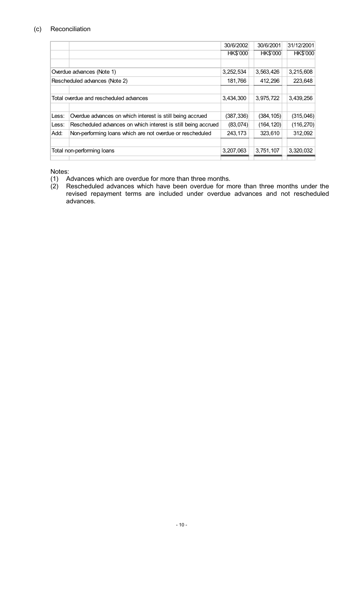#### $(c)$ Reconciliation

|       |                                                               | 30/6/2002       | 30/6/2001  | 31/12/2001      |
|-------|---------------------------------------------------------------|-----------------|------------|-----------------|
|       |                                                               | <b>HK\$'000</b> | HK\$'000   | <b>HK\$'000</b> |
|       |                                                               |                 |            |                 |
|       | Overdue advances (Note 1)                                     | 3,252,534       | 3,563,426  | 3,215,608       |
|       | Rescheduled advances (Note 2)                                 | 181,766         | 412,296    | 223,648         |
|       |                                                               |                 |            |                 |
|       | Total overdue and rescheduled advances                        | 3,434,300       | 3,975,722  | 3,439,256       |
|       |                                                               |                 |            |                 |
| Less: | Overdue advances on which interest is still being accrued     | (387,336)       | (384, 105) | (315,046)       |
| Less: | Rescheduled advances on which interest is still being accrued | (83,074)        | (164, 120) | (116, 270)      |
| Add:  | Non-performing loans which are not overdue or rescheduled     | 243,173         | 323,610    | 312,092         |
|       |                                                               |                 |            |                 |
|       | Total non-performing loans                                    | 3,207,063       | 3,751,107  | 3,320,032       |
|       |                                                               |                 |            |                 |

Notes:

- (1) Advances which are overdue for more than three months.
- (2) Rescheduled advances which have been overdue for more than three months under the revised repayment terms are included under overdue advances and not rescheduled advances.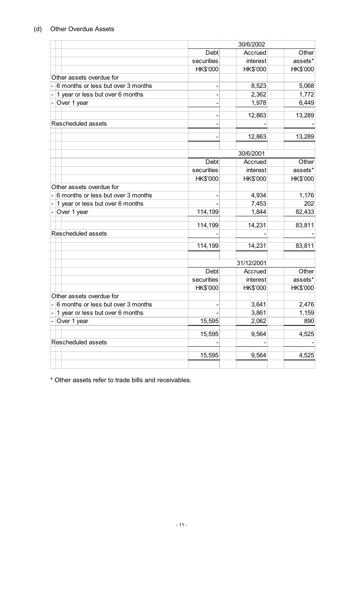|                                    |                 | 30/6/2002       |          |
|------------------------------------|-----------------|-----------------|----------|
|                                    | Debt            | Accrued         | Other    |
|                                    | securities      | interest        | assets*  |
|                                    | <b>HK\$'000</b> | <b>HK\$'000</b> | HK\$'000 |
| Other assets overdue for           |                 |                 |          |
| 6 months or less but over 3 months |                 | 8,523           | 5,068    |
| 1 year or less but over 6 months   |                 | 2,362           | 1,772    |
| Over 1 year                        |                 | 1,978           | 6,449    |
|                                    |                 | 12,863          | 13,289   |
| <b>Rescheduled assets</b>          |                 |                 |          |
|                                    |                 | 12,863          | 13,289   |
|                                    |                 | 30/6/2001       |          |
|                                    | <b>Debt</b>     | Accrued         | Other    |
|                                    | securities      | interest        | assets*  |
|                                    | <b>HK\$'000</b> | <b>HK\$'000</b> | HK\$'000 |
| Other assets overdue for           |                 |                 |          |
| 6 months or less but over 3 months |                 | 4,934           | 1,176    |
| 1 year or less but over 6 months   |                 | 7,453           | 202      |
| Over 1 year                        | 114,199         | 1,844           | 82,433   |
|                                    |                 |                 |          |
|                                    | 114,199         | 14,231          | 83,811   |
| <b>Rescheduled assets</b>          |                 |                 |          |
|                                    | 114,199         | 14,231          | 83,811   |
|                                    |                 | 31/12/2001      |          |
|                                    | Debt            | Accrued         | Other    |
|                                    | securities      | interest        | assets*  |
|                                    | <b>HK\$'000</b> | <b>HK\$'000</b> | HK\$'000 |
| Other assets overdue for           |                 |                 |          |
| 6 months or less but over 3 months |                 | 3,641           | 2,476    |
| 1 year or less but over 6 months   |                 | 3,861           | 1,159    |
| Over 1 year                        | 15,595          | 2,062           | 890      |
|                                    | 15,595          | 9,564           | 4,525    |
| Rescheduled assets                 |                 |                 |          |
|                                    | 15,595          | 9,564           | 4,525    |
|                                    |                 |                 |          |

\* Other assets refer to trade bills and receivables.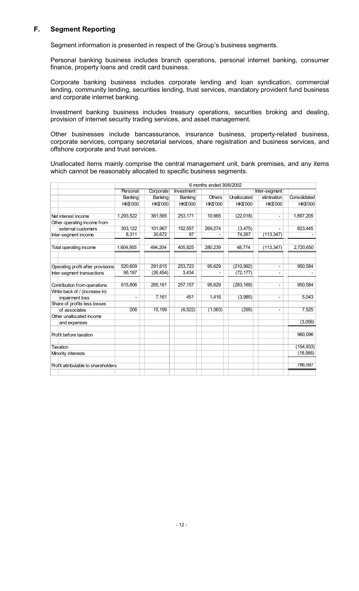#### F. **Segment Reporting**

Segment information is presented in respect of the Group's business segments.

Personal banking business includes branch operations, personal internet banking, consumer finance, property loans and credit card business.

Corporate banking business includes corporate lending and loan syndication, commercial lending, community lending, securities lending, trust services, mandatory provident fund business and corporate internet banking.

Investment banking business includes treasury operations, securities broking and dealing, provision of internet security trading services, and asset management.

Other businesses include bancassurance, insurance business, property-related business, corporate services, company secretarial services, share registration and business services, and offshore corporate and trust services.

Unallocated items mainly comprise the central management unit, bank premises, and any items which cannot be reasonably allocated to specific business segments.

|                                     | 6 months ended 30/6/2002 |                 |                 |                 |                 |                          |                 |  |  |
|-------------------------------------|--------------------------|-----------------|-----------------|-----------------|-----------------|--------------------------|-----------------|--|--|
|                                     | Personal                 | Corporate       | Investment      |                 |                 | Inter-segment            |                 |  |  |
|                                     | <b>Banking</b>           | Banking         | Banking         | <b>Others</b>   | Unallocated     | elimination              | Consolidated    |  |  |
|                                     | <b>HK\$'000</b>          | <b>HK\$'000</b> | <b>HK\$'000</b> | <b>HK\$'000</b> | <b>HK\$'000</b> | <b>HK\$'000</b>          | <b>HK\$'000</b> |  |  |
|                                     |                          |                 |                 |                 |                 |                          |                 |  |  |
| Net interest income                 | 1,293,522                | 361,565         | 253,171         | 10,965          | (22,018)        | ٠                        | 1,897,205       |  |  |
| Other operating income from         |                          |                 |                 |                 |                 |                          |                 |  |  |
| external customers                  | 303,122                  | 101,967         | 152,557         | 269,274         | (3,475)         |                          | 823,445         |  |  |
| Inter-segment income                | 8,311                    | 30,672          | 97              |                 | 74.267          | (113, 347)               |                 |  |  |
| Total operating income              | 1,604,955                | 494,204         | 405,825         | 280,239         | 48,774          | (113, 347)               | 2,720,650       |  |  |
|                                     |                          |                 |                 |                 |                 |                          |                 |  |  |
| Operating profit after provisions   | 520,609                  | 291,615         | 253.723         | 95,629          | (210,992)       | -                        | 950,584         |  |  |
| Inter-segment transactions          | 95,197                   | (26, 454)       | 3,434           |                 | (72, 177)       | $\overline{\phantom{0}}$ |                 |  |  |
| Contribution from operations        | 615,806                  | 265,161         | 257,157         | 95,629          | (283, 169)      | ٠                        | 950,584         |  |  |
| Write-back of / (increase in)       |                          |                 |                 |                 |                 |                          |                 |  |  |
| impairment loss                     | -                        | 7,161           | 451             | 1,416           | (3,985)         | -                        | 5,043           |  |  |
| Share of profits less losses        |                          |                 |                 |                 |                 |                          |                 |  |  |
| of associates                       | 206                      | 15,199          | (6, 522)        | (1,063)         | (295)           | -                        | 7,525           |  |  |
| Other unallocated income            |                          |                 |                 |                 |                 |                          |                 |  |  |
| and expenses                        |                          |                 |                 |                 |                 |                          | (3,056)         |  |  |
| Profit before taxation              |                          |                 |                 |                 |                 |                          | 960,096         |  |  |
|                                     |                          |                 |                 |                 |                 |                          |                 |  |  |
| Taxation                            |                          |                 |                 |                 |                 |                          | (154, 933)      |  |  |
| Minority interests                  |                          |                 |                 |                 |                 |                          | (18, 566)       |  |  |
| Profit attributable to shareholders |                          |                 |                 |                 |                 |                          | 786,597         |  |  |
|                                     |                          |                 |                 |                 |                 |                          |                 |  |  |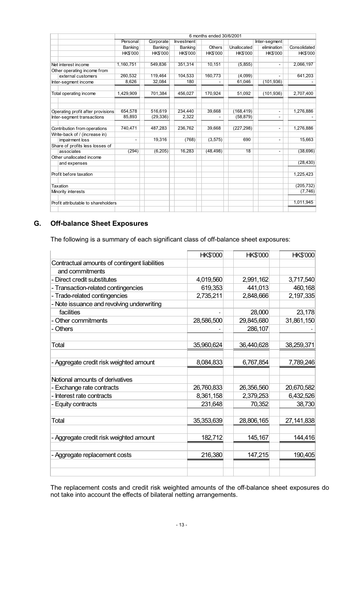|                                     |                 | 6 months ended 30/6/2001 |                 |                 |                 |                 |                 |  |  |  |
|-------------------------------------|-----------------|--------------------------|-----------------|-----------------|-----------------|-----------------|-----------------|--|--|--|
|                                     | Personal        | Corporate                | Investment      |                 |                 | Inter-segment   |                 |  |  |  |
|                                     | Banking         | Banking                  | Banking         | <b>Others</b>   | Unallocated     | elimination     | Consolidated    |  |  |  |
|                                     | <b>HK\$'000</b> | <b>HK\$'000</b>          | <b>HK\$'000</b> | <b>HK\$'000</b> | <b>HK\$'000</b> | <b>HK\$'000</b> | <b>HK\$'000</b> |  |  |  |
|                                     |                 |                          |                 |                 |                 |                 |                 |  |  |  |
| Net interest income                 | 1,160,751       | 549,836                  | 351,314         | 10,151          | (5,855)         |                 | 2,066,197       |  |  |  |
| Other operating income from         |                 |                          |                 |                 |                 |                 |                 |  |  |  |
| external customers                  | 260,532         | 119,464                  | 104,533         | 160,773         | (4,099)         |                 | 641,203         |  |  |  |
| Inter-segment income                | 8,626           | 32,084                   | 180             |                 | 61,046          | (101, 936)      |                 |  |  |  |
| Total operating income              | 1,429,909       | 701,384                  | 456,027         | 170,924         | 51,092          | (101, 936)      | 2,707,400       |  |  |  |
|                                     |                 |                          |                 |                 |                 |                 |                 |  |  |  |
| Operating profit after provisions   | 654,578         | 516,619                  | 234,440         | 39,668          | (168, 419)      |                 | 1,276,886       |  |  |  |
| Inter-segment transactions          | 85,893          | (29,336)                 | 2,322           |                 | (58, 879)       |                 |                 |  |  |  |
| Contribution from operations        | 740,471         | 487,283                  | 236,762         | 39,668          | (227, 298)      |                 | 1,276,886       |  |  |  |
| Write-back of / (increase in)       |                 |                          |                 |                 |                 |                 |                 |  |  |  |
| impairment loss                     |                 | 19,316                   | (768)           | (3, 575)        | 690             | $\overline{a}$  | 15,663          |  |  |  |
| Share of profits less losses of     |                 |                          |                 |                 |                 |                 |                 |  |  |  |
| associates                          | (294)           | (6, 205)                 | 16,283          | (48, 498)       | 18              |                 | (38, 696)       |  |  |  |
| Other unallocated income            |                 |                          |                 |                 |                 |                 |                 |  |  |  |
| and expenses                        |                 |                          |                 |                 |                 |                 | (28, 430)       |  |  |  |
| Profit before taxation              |                 |                          |                 |                 |                 |                 | 1,225,423       |  |  |  |
| Taxation                            |                 |                          |                 |                 |                 |                 | (205, 732)      |  |  |  |
| Minority interests                  |                 |                          |                 |                 |                 |                 | (7, 746)        |  |  |  |
| Profit attributable to shareholders |                 |                          |                 |                 |                 |                 | 1,011,945       |  |  |  |
|                                     |                 |                          |                 |                 |                 |                 |                 |  |  |  |

# **G.** Off-balance Sheet Exposures

The following is a summary of each significant class of off-balance sheet exposures:

|                                               | <b>HK\$'000</b> | <b>HK\$'000</b> | <b>HK\$'000</b> |
|-----------------------------------------------|-----------------|-----------------|-----------------|
| Contractual amounts of contingent liabilities |                 |                 |                 |
| and commitments                               |                 |                 |                 |
| - Direct credit substitutes                   | 4,019,560       | 2,991,162       | 3,717,540       |
| - Transaction-related contingencies           | 619,353         | 441,013         | 460,168         |
| - Trade-related contingencies                 | 2,735,211       | 2,848,666       | 2,197,335       |
| - Note issuance and revolving underwriting    |                 |                 |                 |
| facilities                                    |                 | 28,000          | 23,178          |
| - Other commitments                           | 28,586,500      | 29,845,680      | 31,861,150      |
| - Others                                      |                 | 286,107         |                 |
| Total                                         | 35,960,624      | 36,440,628      | 38,259,371      |
|                                               |                 |                 |                 |
| - Aggregate credit risk weighted amount       | 8,084,833       | 6,767,854       | 7,789,246       |
| Notional amounts of derivatives               |                 |                 |                 |
| - Exchange rate contracts                     | 26,760,833      | 26,356,560      | 20,670,582      |
| - Interest rate contracts                     | 8,361,158       | 2,379,253       | 6,432,526       |
| - Equity contracts                            | 231,648         | 70,352          | 38,730          |
|                                               |                 |                 |                 |
| Total                                         | 35, 353, 639    | 28,806,165      | 27, 141, 838    |
| - Aggregate credit risk weighted amount       | 182,712         | 145,167         | 144,416         |
|                                               | 216,380         | 147,215         | 190,405         |
| - Aggregate replacement costs                 |                 |                 |                 |
|                                               |                 |                 |                 |

The replacement costs and credit risk weighted amounts of the off-balance sheet exposures do not take into account the effects of bilateral netting arrangements.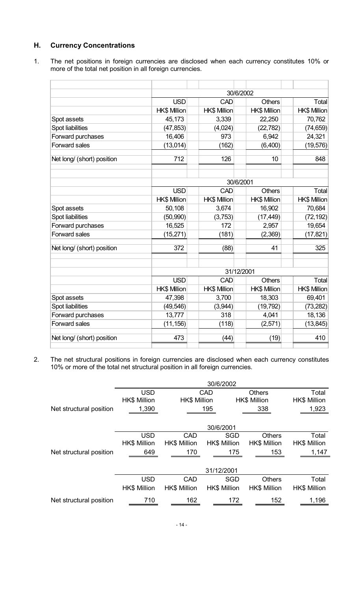#### H. **Currency Concentrations**

 $1.$ The net positions in foreign currencies are disclosed when each currency constitutes 10% or more of the total net position in all foreign currencies.

|                            |                     | 30/6/2002           |                     |                     |
|----------------------------|---------------------|---------------------|---------------------|---------------------|
|                            | <b>USD</b>          | CAD                 | <b>Others</b>       | Total               |
|                            | <b>HK\$ Million</b> | <b>HK\$ Million</b> | <b>HK\$ Million</b> | <b>HK\$ Million</b> |
| Spot assets                | 45,173              | 3,339               | 22,250              | 70,762              |
| Spot liabilities           | (47, 853)           | (4,024)             | (22, 782)           | (74, 659)           |
| Forward purchases          | 16,406              | 973                 | 6,942               | 24,321              |
| <b>Forward sales</b>       | (13, 014)           | (162)               | (6,400)             | (19, 576)           |
| Net long/ (short) position | 712                 | 126                 | 10                  | 848                 |
|                            |                     | 30/6/2001           |                     |                     |
|                            | <b>USD</b>          | CAD                 | <b>Others</b>       | Total               |
|                            | <b>HK\$ Million</b> | <b>HK\$ Million</b> | <b>HK\$ Million</b> | <b>HK\$ Million</b> |
| Spot assets                | 50,108              | 3,674               | 16,902              | 70,684              |
| Spot liabilities           | (50, 990)           | (3,753)             | (17, 449)           | (72, 192)           |
| Forward purchases          | 16,525              | 172                 | 2,957               | 19,654              |
| <b>Forward sales</b>       | (15,271)            | (181)               | (2,369)             | (17, 821)           |
| Net long/ (short) position | 372                 | (88)                | 41                  | 325                 |
|                            |                     | 31/12/2001          |                     |                     |
|                            | <b>USD</b>          | CAD                 | <b>Others</b>       | Total               |
|                            | <b>HK\$ Million</b> | <b>HK\$ Million</b> | <b>HK\$ Million</b> | <b>HK\$ Million</b> |
| Spot assets                | 47,398              | 3,700               | 18,303              | 69,401              |
| Spot liabilities           | (49, 546)           | (3,944)             | (19, 792)           | (73, 282)           |
| Forward purchases          | 13,777              | 318                 | 4,041               | 18,136              |
| <b>Forward sales</b>       | (11,156)            | (118)               | (2,571)             | (13, 845)           |
| Net long/ (short) position | 473                 | (44)                | (19)                | 410                 |

 $2.$ The net structural positions in foreign currencies are disclosed when each currency constitutes 10% or more of the total net structural position in all foreign currencies.

|                         | 30/6/2002           |                     |                     |                     |                     |  |  |  |
|-------------------------|---------------------|---------------------|---------------------|---------------------|---------------------|--|--|--|
|                         | <b>USD</b>          |                     | <b>CAD</b>          | <b>Others</b>       | Total               |  |  |  |
|                         | <b>HK\$ Million</b> | <b>HK\$ Million</b> |                     | <b>HK\$ Million</b> | <b>HK\$ Million</b> |  |  |  |
| Net structural position | 1,390               |                     | 195                 | 338                 | 1,923               |  |  |  |
|                         | 30/6/2001           |                     |                     |                     |                     |  |  |  |
|                         | <b>USD</b>          | <b>CAD</b>          | SGD                 | <b>Others</b>       | Total               |  |  |  |
|                         | <b>HK\$ Million</b> | <b>HK\$ Million</b> | <b>HK\$ Million</b> | <b>HK\$ Million</b> | <b>HK\$ Million</b> |  |  |  |
| Net structural position | 649                 | 170                 | 175                 | 153                 | 1,147               |  |  |  |
|                         |                     |                     | 31/12/2001          |                     |                     |  |  |  |
|                         | <b>USD</b>          | <b>CAD</b>          | <b>SGD</b>          | <b>Others</b>       | Total               |  |  |  |
|                         | <b>HK\$ Million</b> | <b>HK\$ Million</b> | <b>HK\$ Million</b> | <b>HK\$ Million</b> | <b>HK\$ Million</b> |  |  |  |
| Net structural position | 710                 | 162                 | 172                 | 152                 | 1,196               |  |  |  |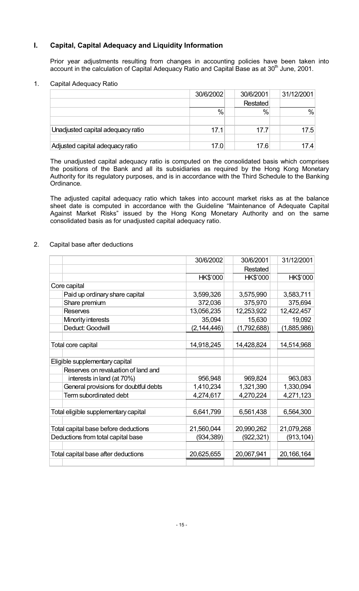#### $\mathbf{L}$ **Capital, Capital Adequacy and Liquidity Information**

Prior year adjustments resulting from changes in accounting policies have been taken into account in the calculation of Capital Adequacy Ratio and Capital Base as at 30<sup>th</sup> June, 2001.

#### $1.$ Capital Adequacy Ratio

|                                   | 30/6/2002 | 30/6/2001     | 31/12/2001 |
|-----------------------------------|-----------|---------------|------------|
|                                   |           | Restated      |            |
|                                   | $\%$      | $\frac{0}{0}$ | %          |
|                                   |           |               |            |
| Unadjusted capital adequacy ratio | 17.1      | 17.7          | 17.5       |
|                                   |           |               |            |
| Adjusted capital adequacy ratio   | 17.0      | 17.6          | 17.4       |

The unadjusted capital adequacy ratio is computed on the consolidated basis which comprises the positions of the Bank and all its subsidiaries as required by the Hong Kong Monetary Authority for its regulatory purposes, and is in accordance with the Third Schedule to the Banking Ordinance.

The adjusted capital adequacy ratio which takes into account market risks as at the balance sheet date is computed in accordance with the Guideline "Maintenance of Adequate Capital Against Market Risks" issued by the Hong Kong Monetary Authority and on the same consolidated basis as for unadjusted capital adequacy ratio.

#### $2.$ Capital base after deductions

|                                       | 30/6/2002     | 30/6/2001       | 31/12/2001  |
|---------------------------------------|---------------|-----------------|-------------|
|                                       |               | <b>Restated</b> |             |
|                                       | HK\$'000      | <b>HK\$'000</b> | HK\$'000    |
| Core capital                          |               |                 |             |
| Paid up ordinary share capital        | 3,599,326     | 3,575,990       | 3,583,711   |
| Share premium                         | 372,036       | 375,970         | 375,694     |
| <b>Reserves</b>                       | 13,056,235    | 12,253,922      | 12,422,457  |
| Minority interests                    | 35,094        | 15,630          | 19,092      |
| Deduct: Goodwill                      | (2, 144, 446) | (1,792,688)     | (1,885,986) |
|                                       |               |                 |             |
| Total core capital                    | 14,918,245    | 14,428,824      | 14,514,968  |
|                                       |               |                 |             |
| Eligible supplementary capital        |               |                 |             |
| Reserves on revaluation of land and   |               |                 |             |
| interests in land (at 70%)            | 956,948       | 969,824         | 963,083     |
| General provisions for doubtful debts | 1,410,234     | 1,321,390       | 1,330,094   |
| Term subordinated debt                | 4,274,617     | 4,270,224       | 4,271,123   |
|                                       |               |                 |             |
| Total eligible supplementary capital  | 6,641,799     | 6,561,438       | 6,564,300   |
|                                       |               |                 |             |
| Total capital base before deductions  | 21,560,044    | 20,990,262      | 21,079,268  |
| Deductions from total capital base    | (934, 389)    | (922,321)       | (913, 104)  |
|                                       |               |                 |             |
| Total capital base after deductions   | 20,625,655    | 20,067,941      | 20,166,164  |
|                                       |               |                 |             |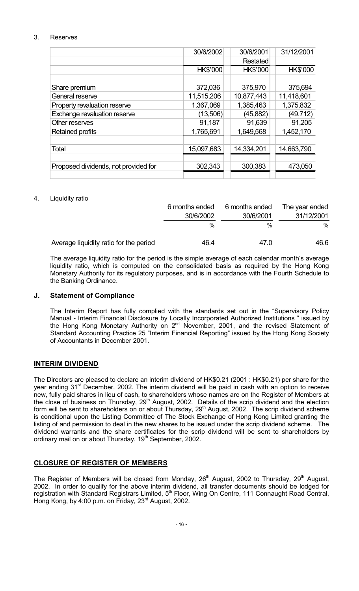#### 3. **Reserves**

|                                      | 30/6/2002       | 30/6/2001       | 31/12/2001      |
|--------------------------------------|-----------------|-----------------|-----------------|
|                                      |                 | Restated        |                 |
|                                      | <b>HK\$'000</b> | <b>HK\$'000</b> | <b>HK\$'000</b> |
|                                      |                 |                 |                 |
| Share premium                        | 372,036         | 375,970         | 375,694         |
| General reserve                      | 11,515,206      | 10,877,443      | 11,418,601      |
| Property revaluation reserve         | 1,367,069       | 1,385,463       | 1,375,832       |
| Exchange revaluation reserve         | (13,506)        | (45,882)        | (49, 712)       |
| Other reserves                       | 91,187          | 91,639          | 91,205          |
| Retained profits                     | 1,765,691       | 1,649,568       | 1,452,170       |
|                                      |                 |                 |                 |
| Total                                | 15,097,683      | 14,334,201      | 14,663,790      |
|                                      |                 |                 |                 |
| Proposed dividends, not provided for | 302,343         | 300,383         | 473,050         |
|                                      |                 |                 |                 |

#### 4. Liquidity ratio

|                                        | 6 months ended | 6 months ended | The year ended |
|----------------------------------------|----------------|----------------|----------------|
|                                        | 30/6/2002      | 30/6/2001      | 31/12/2001     |
|                                        | $\frac{0}{6}$  | %              | $\%$           |
| Average liquidity ratio for the period | 46.4           | 47.0           | 46.6           |

The average liquidity ratio for the period is the simple average of each calendar month's average liquidity ratio, which is computed on the consolidated basis as required by the Hong Kong Monetary Authority for its regulatory purposes, and is in accordance with the Fourth Schedule to the Banking Ordinance.

#### J. **Statement of Compliance**

The Interim Report has fully complied with the standards set out in the "Supervisory Policy Manual - Interim Financial Disclosure by Locally Incorporated Authorized Institutions " issued by the Hong Kong Monetary Authority on 2<sup>nd</sup> November, 2001, and the revised Statement of Standard Accounting Practice 25 "Interim Financial Reporting" issued by the Hong Kong Society of Accountants in December 2001.

### **INTERIM DIVIDEND**

The Directors are pleased to declare an interim dividend of HK\$0.21 (2001: HK\$0.21) per share for the year ending 31<sup>st</sup> December, 2002. The interim dividend will be paid in cash with an option to receive new, fully paid shares in lieu of cash, to shareholders whose names are on the Register of Members at the close of business on Thursday,  $29<sup>th</sup>$  August, 2002. Details of the scrip dividend and the election<br>form will be sent to shareholders on or about Thursday,  $29<sup>th</sup>$  August, 2002. The scrip dividend scheme is conditional upon the Listing Committee of The Stock Exchange of Hong Kong Limited granting the listing of and permission to deal in the new shares to be issued under the scrip dividend scheme. The dividend warrants and the share certificates for the scrip dividend will be sent to shareholders by ordinary mail on or about Thursday, 19<sup>th</sup> September, 2002.

### **CLOSURE OF REGISTER OF MEMBERS**

The Register of Members will be closed from Monday, 26<sup>th</sup> August, 2002 to Thursday, 29<sup>th</sup> August, 2002. In order to qualify for the above interim dividend, all transfer documents should be lodged for registration with Standard Registrars Limited, 5<sup>th</sup> Floor, Wing On Centre, 111 Connaught Road Central, Hong Kong, by 4:00 p.m. on Friday, 23<sup>rd</sup> August, 2002.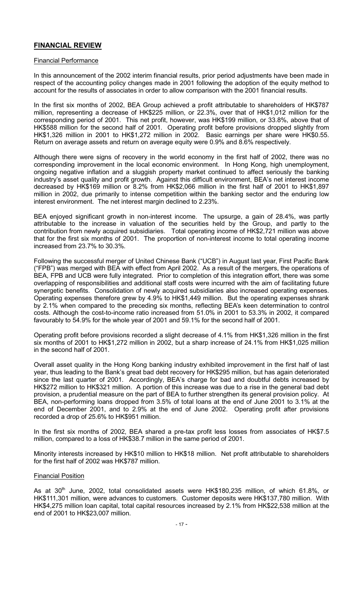### **FINANCIAL REVIEW**

#### **Financial Performance**

In this announcement of the 2002 interim financial results, prior period adjustments have been made in respect of the accounting policy changes made in 2001 following the adoption of the equity method to account for the results of associates in order to allow comparison with the 2001 financial results.

In the first six months of 2002, BEA Group achieved a profit attributable to shareholders of HK\$787 million, representing a decrease of HK\$225 million, or 22.3%, over that of HK\$1,012 million for the corresponding period of 2001. This net profit, however, was HK\$199 million, or 33.8%, above that of HK\$588 million for the second half of 2001. Operating profit before provisions dropped slightly from HK\$1,326 million in 2001 to HK\$1,272 million in 2002. Basic earnings per share were HK\$0.55. Return on average assets and return on average equity were 0.9% and 8.6% respectively.

Although there were signs of recovery in the world economy in the first half of 2002, there was no corresponding improvement in the local economic environment. In Hong Kong, high unemployment, ongoing negative inflation and a sluggish property market continued to affect seriously the banking industry's asset quality and profit growth. Against this difficult environment, BEA's net interest income decreased by HK\$169 million or 8.2% from HK\$2,066 million in the first half of 2001 to HK\$1,897 million in 2002, due primarily to intense competition within the banking sector and the enduring low interest environment. The net interest margin declined to 2.23%.

BEA enjoyed significant growth in non-interest income. The upsurge, a gain of 28.4%, was partly attributable to the increase in valuation of the securities held by the Group, and partly to the contribution from newly acquired subsidiaries. Total operating income of HK\$2,721 million was above that for the first six months of 2001. The proportion of non-interest income to total operating income increased from 23.7% to 30.3%.

Following the successful merger of United Chinese Bank ("UCB") in August last year, First Pacific Bank ("FPB") was merged with BEA with effect from April 2002. As a result of the mergers, the operations of BEA, FPB and UCB were fully integrated. Prior to completion of this integration effort, there was some overlapping of responsibilities and additional staff costs were incurred with the aim of facilitating future synergetic benefits. Consolidation of newly acquired subsidiaries also increased operating expenses. Operating expenses therefore grew by 4.9% to HK\$1,449 million. But the operating expenses shrank by 2.1% when compared to the preceding six months, reflecting BEA's keen determination to control costs. Although the cost-to-income ratio increased from 51.0% in 2001 to 53.3% in 2002, it compared favourably to 54.9% for the whole year of 2001 and 59.1% for the second half of 2001.

Operating profit before provisions recorded a slight decrease of 4.1% from HK\$1,326 million in the first six months of 2001 to HK\$1,272 million in 2002, but a sharp increase of 24.1% from HK\$1,025 million in the second half of 2001.

Overall asset quality in the Hong Kong banking industry exhibited improvement in the first half of last year, thus leading to the Bank's great bad debt recovery for HK\$295 million, but has again deteriorated since the last quarter of 2001. Accordingly, BEA's charge for bad and doubtful debts increased by HK\$272 million to HK\$321 million. A portion of this increase was due to a rise in the general bad debt provision, a prudential measure on the part of BEA to further strengthen its general provision policy. At BEA, non-performing loans dropped from 3.5% of total loans at the end of June 2001 to 3.1% at the end of December 2001, and to 2.9% at the end of June 2002. Operating profit after provisions recorded a drop of 25.6% to HK\$951 million.

In the first six months of 2002, BEA shared a pre-tax profit less losses from associates of HK\$7.5 million, compared to a loss of HK\$38.7 million in the same period of 2001.

Minority interests increased by HK\$10 million to HK\$18 million. Net profit attributable to shareholders for the first half of 2002 was HK\$787 million.

#### **Financial Position**

As at 30<sup>th</sup> June, 2002, total consolidated assets were HK\$180,235 million, of which 61.8%, or HK\$111,301 million, were advances to customers. Customer deposits were HK\$137,780 million. With HK\$4,275 million loan capital, total capital resources increased by 2.1% from HK\$22,538 million at the end of 2001 to HK\$23,007 million.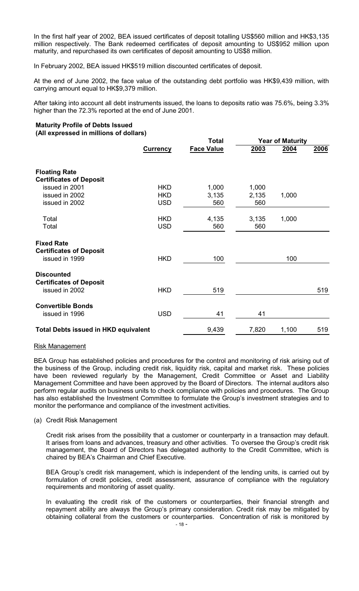In the first half year of 2002, BEA issued certificates of deposit totalling US\$560 million and HK\$3,135 million respectively. The Bank redeemed certificates of deposit amounting to US\$952 million upon maturity, and repurchased its own certificates of deposit amounting to US\$8 million.

In February 2002, BEA issued HK\$519 million discounted certificates of deposit.

At the end of June 2002, the face value of the outstanding debt portfolio was HK\$9,439 million, with carrying amount equal to HK\$9,379 million.

After taking into account all debt instruments issued, the loans to deposits ratio was 75.6%, being 3.3% higher than the 72.3% reported at the end of June 2001.

#### **Maturity Profile of Debts Issued** (All expressed in millions of dollars)

|                                                                       |                 | <b>Total</b>      | <b>Year of Maturity</b> |       |      |  |  |  |
|-----------------------------------------------------------------------|-----------------|-------------------|-------------------------|-------|------|--|--|--|
|                                                                       | <b>Currency</b> | <b>Face Value</b> | 2003                    | 2004  | 2006 |  |  |  |
| <b>Floating Rate</b>                                                  |                 |                   |                         |       |      |  |  |  |
| <b>Certificates of Deposit</b>                                        |                 |                   |                         |       |      |  |  |  |
| issued in 2001                                                        | <b>HKD</b>      | 1,000             | 1,000                   |       |      |  |  |  |
| issued in 2002                                                        | <b>HKD</b>      | 3,135             | 2,135                   | 1,000 |      |  |  |  |
| issued in 2002                                                        | <b>USD</b>      | 560               | 560                     |       |      |  |  |  |
| Total                                                                 | <b>HKD</b>      | 4,135             | 3,135                   | 1,000 |      |  |  |  |
| Total                                                                 | <b>USD</b>      | 560               | 560                     |       |      |  |  |  |
| <b>Fixed Rate</b><br><b>Certificates of Deposit</b><br>issued in 1999 | <b>HKD</b>      | 100               |                         | 100   |      |  |  |  |
| <b>Discounted</b>                                                     |                 |                   |                         |       |      |  |  |  |
| <b>Certificates of Deposit</b>                                        |                 |                   |                         |       |      |  |  |  |
| issued in 2002                                                        | <b>HKD</b>      | 519               |                         |       | 519  |  |  |  |
| <b>Convertible Bonds</b>                                              |                 |                   |                         |       |      |  |  |  |
| issued in 1996                                                        | <b>USD</b>      | 41                | 41                      |       |      |  |  |  |
| <b>Total Debts issued in HKD equivalent</b>                           |                 | 9,439             | 7,820                   | 1,100 | 519  |  |  |  |

#### **Risk Management**

BEA Group has established policies and procedures for the control and monitoring of risk arising out of the business of the Group, including credit risk, liquidity risk, capital and market risk. These policies have been reviewed regularly by the Management, Credit Committee or Asset and Liability Management Committee and have been approved by the Board of Directors. The internal auditors also perform regular audits on business units to check compliance with policies and procedures. The Group has also established the Investment Committee to formulate the Group's investment strategies and to monitor the performance and compliance of the investment activities.

#### (a) Credit Risk Management

Credit risk arises from the possibility that a customer or counterparty in a transaction may default. It arises from loans and advances, treasury and other activities. To oversee the Group's credit risk management, the Board of Directors has delegated authority to the Credit Committee, which is chaired by BEA's Chairman and Chief Executive.

BEA Group's credit risk management, which is independent of the lending units, is carried out by formulation of credit policies, credit assessment, assurance of compliance with the regulatory requirements and monitoring of asset quality.

In evaluating the credit risk of the customers or counterparties, their financial strength and repayment ability are always the Group's primary consideration. Credit risk may be mitigated by obtaining collateral from the customers or counterparties. Concentration of risk is monitored by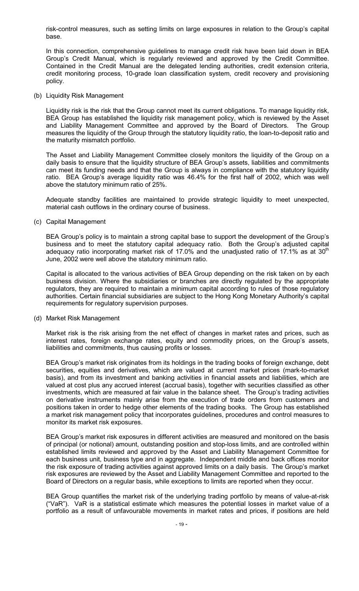risk-control measures, such as setting limits on large exposures in relation to the Group's capital base.

In this connection, comprehensive guidelines to manage credit risk have been laid down in BEA Group's Credit Manual, which is regularly reviewed and approved by the Credit Committee. Contained in the Credit Manual are the delegated lending authorities, credit extension criteria, credit monitoring process, 10-grade loan classification system, credit recovery and provisioning policy.

(b) Liquidity Risk Management

Liquidity risk is the risk that the Group cannot meet its current obligations. To manage liquidity risk, BEA Group has established the liquidity risk management policy, which is reviewed by the Asset and Liability Management Committee and approved by the Board of Directors. The Group measures the liquidity of the Group through the statutory liquidity ratio, the loan-to-deposit ratio and the maturity mismatch portfolio.

The Asset and Liability Management Committee closely monitors the liquidity of the Group on a daily basis to ensure that the liquidity structure of BEA Group's assets, liabilities and commitments can meet its funding needs and that the Group is always in compliance with the statutory liquidity ratio. BEA Group's average liquidity ratio was 46.4% for the first half of 2002, which was well above the statutory minimum ratio of 25%.

Adequate standby facilities are maintained to provide strategic liquidity to meet unexpected, material cash outflows in the ordinary course of business.

(c) Capital Management

BEA Group's policy is to maintain a strong capital base to support the development of the Group's business and to meet the statutory capital adequacy ratio. Both the Group's adjusted capital adequacy ratio incorporating market risk of 17.0% and the unadjusted ratio of 17.1% as at 30<sup>th</sup> June, 2002 were well above the statutory minimum ratio.

Capital is allocated to the various activities of BEA Group depending on the risk taken on by each business division. Where the subsidiaries or branches are directly regulated by the appropriate regulators, they are required to maintain a minimum capital according to rules of those regulatory authorities. Certain financial subsidiaries are subject to the Hong Kong Monetary Authority's capital requirements for regulatory supervision purposes.

(d) Market Risk Management

Market risk is the risk arising from the net effect of changes in market rates and prices, such as interest rates, foreign exchange rates, equity and commodity prices, on the Group's assets, liabilities and commitments, thus causing profits or losses.

BEA Group's market risk originates from its holdings in the trading books of foreign exchange, debt securities, equities and derivatives, which are valued at current market prices (mark-to-market basis), and from its investment and banking activities in financial assets and liabilities, which are valued at cost plus any accrued interest (accrual basis), together with securities classified as other investments, which are measured at fair value in the balance sheet. The Group's trading activities on derivative instruments mainly arise from the execution of trade orders from customers and positions taken in order to hedge other elements of the trading books. The Group has established a market risk management policy that incorporates guidelines, procedures and control measures to monitor its market risk exposures.

BEA Group's market risk exposures in different activities are measured and monitored on the basis of principal (or notional) amount, outstanding position and stop-loss limits, and are controlled within established limits reviewed and approved by the Asset and Liability Management Committee for each business unit, business type and in aggregate. Independent middle and back offices monitor the risk exposure of trading activities against approved limits on a daily basis. The Group's market risk exposures are reviewed by the Asset and Liability Management Committee and reported to the Board of Directors on a regular basis, while exceptions to limits are reported when they occur.

BEA Group quantifies the market risk of the underlying trading portfolio by means of value-at-risk ("VaR"). VaR is a statistical estimate which measures the potential losses in market value of a portfolio as a result of unfavourable movements in market rates and prices, if positions are held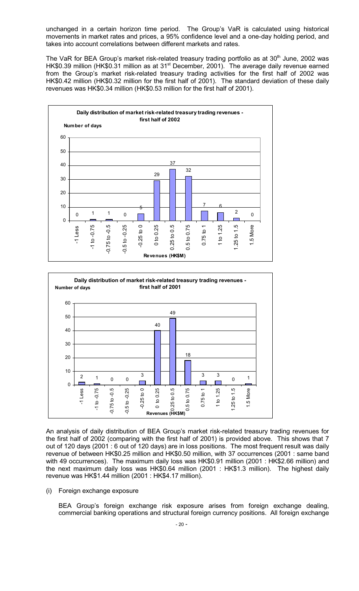unchanged in a certain horizon time period. The Group's VaR is calculated using historical movements in market rates and prices, a 95% confidence level and a one-day holding period, and takes into account correlations between different markets and rates.

The VaR for BEA Group's market risk-related treasury trading portfolio as at 30<sup>th</sup> June, 2002 was HK\$0.39 million (HK\$0.31 million as at 31<sup>st</sup> December, 2001). The average daily revenue earned from the Group's market risk-related treasury trading activities for the first half of 2002 was HK\$0.42 million (HK\$0.32 million for the first half of 2001). The standard deviation of these daily revenues was HK\$0.34 million (HK\$0.53 million for the first half of 2001).





An analysis of daily distribution of BEA Group's market risk-related treasury trading revenues for the first half of 2002 (comparing with the first half of 2001) is provided above. This shows that 7 out of 120 days (2001 : 6 out of 120 days) are in loss positions. The most frequent result was daily revenue of between HK\$0.25 million and HK\$0.50 million, with 37 occurrences (2001 : same band with 49 occurrences). The maximum daily loss was HK\$0.91 million (2001 : HK\$2.66 million) and the next maximum daily loss was HK\$0.64 million (2001 : HK\$1.3 million). The highest daily revenue was HK\$1.44 million (2001 : HK\$4.17 million).

#### (i) Foreign exchange exposure

BEA Group's foreign exchange risk exposure arises from foreign exchange dealing, commercial banking operations and structural foreign currency positions. All foreign exchange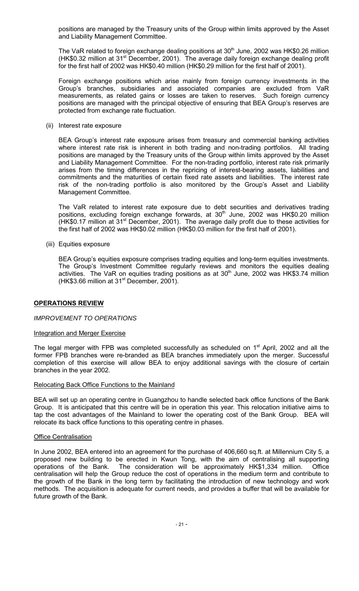positions are managed by the Treasury units of the Group within limits approved by the Asset and Liability Management Committee.

The VaR related to foreign exchange dealing positions at 30<sup>th</sup> June, 2002 was HK\$0.26 million (HK\$0.32 million at 31<sup>st</sup> December, 2001). The average daily foreign exchange dealing profit for the first half of 2002 was HK\$0.40 million (HK\$0.29 million for the first half of 2001).

Foreign exchange positions which arise mainly from foreign currency investments in the Group's branches, subsidiaries and associated companies are excluded from VaR measurements, as related gains or losses are taken to reserves. Such foreign currency positions are managed with the principal objective of ensuring that BEA Group's reserves are protected from exchange rate fluctuation.

(ii) Interest rate exposure

BEA Group's interest rate exposure arises from treasury and commercial banking activities where interest rate risk is inherent in both trading and non-trading portfolios. All trading positions are managed by the Treasury units of the Group within limits approved by the Asset and Liability Management Committee. For the non-trading portfolio, interest rate risk primarily arises from the timing differences in the repricing of interest-bearing assets, liabilities and commitments and the maturities of certain fixed rate assets and liabilities. The interest rate risk of the non-trading portfolio is also monitored by the Group's Asset and Liability Management Committee.

The VaR related to interest rate exposure due to debt securities and derivatives trading positions, excluding foreign exchange forwards, at 30<sup>th</sup> June, 2002 was HK\$0.20 million (HK\$0.17 million at 31<sup>st</sup> December, 2001). The average daily profit due to these activities for the first half of 2002 was HK\$0.02 million (HK\$0.03 million for the first half of 2001).

(iii) Equities exposure

BEA Group's equities exposure comprises trading equities and long-term equities investments. The Group's Investment Committee regularly reviews and monitors the equities dealing activities. The VaR on equities trading positions as at  $30<sup>th</sup>$  June, 2002 was HK\$3.74 million (HK\$3.66 million at 31<sup>st</sup> December, 2001).

### **OPERATIONS REVIEW**

#### **IMPROVEMENT TO OPERATIONS**

#### Integration and Merger Exercise

The legal merger with FPB was completed successfully as scheduled on 1<sup>st</sup> April, 2002 and all the former FPB branches were re-branded as BEA branches immediately upon the merger. Successful completion of this exercise will allow BEA to enjoy additional savings with the closure of certain branches in the year 2002.

#### Relocating Back Office Functions to the Mainland

BEA will set up an operating centre in Guangzhou to handle selected back office functions of the Bank Group. It is anticipated that this centre will be in operation this year. This relocation initiative aims to tap the cost advantages of the Mainland to lower the operating cost of the Bank Group. BEA will relocate its back office functions to this operating centre in phases.

#### **Office Centralisation**

In June 2002, BEA entered into an agreement for the purchase of 406,660 sq.ft. at Millennium City 5, a proposed new building to be erected in Kwun Tong, with the aim of centralising all supporting operations of the Bank. The consideration will be approximately HK\$1,334 million. Office centralisation will help the Group reduce the cost of operations in the medium term and contribute to the growth of the Bank in the long term by facilitating the introduction of new technology and work methods. The acquisition is adequate for current needs, and provides a buffer that will be available for future growth of the Bank.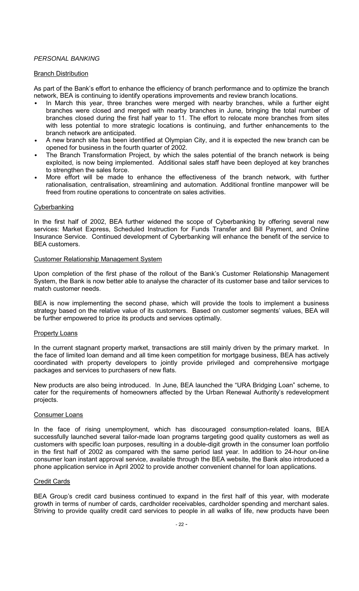#### PERSONAL BANKING

#### **Branch Distribution**

As part of the Bank's effort to enhance the efficiency of branch performance and to optimize the branch network, BEA is continuing to identify operations improvements and review branch locations.

- In March this year, three branches were merged with nearby branches, while a further eight branches were closed and merged with nearby branches in June, bringing the total number of branches closed during the first half year to 11. The effort to relocate more branches from sites with less potential to more strategic locations is continuing, and further enhancements to the branch network are anticipated.
- A new branch site has been identified at Olympian City, and it is expected the new branch can be opened for business in the fourth quarter of 2002.
- The Branch Transformation Project, by which the sales potential of the branch network is being exploited, is now being implemented. Additional sales staff have been deployed at key branches to strengthen the sales force.
- More effort will be made to enhance the effectiveness of the branch network, with further rationalisation, centralisation, streamlining and automation. Additional frontline manpower will be freed from routine operations to concentrate on sales activities.

#### Cyberbanking

In the first half of 2002, BEA further widened the scope of Cyberbanking by offering several new services: Market Express, Scheduled Instruction for Funds Transfer and Bill Payment, and Online Insurance Service. Continued development of Cyberbanking will enhance the benefit of the service to **BEA** customers.

#### **Customer Relationship Management System**

Upon completion of the first phase of the rollout of the Bank's Customer Relationship Management System, the Bank is now better able to analyse the character of its customer base and tailor services to match customer needs.

BEA is now implementing the second phase, which will provide the tools to implement a business strategy based on the relative value of its customers. Based on customer segments' values, BEA will be further empowered to price its products and services optimally.

#### **Property Loans**

In the current stagnant property market, transactions are still mainly driven by the primary market. In the face of limited loan demand and all time keen competition for mortgage business, BEA has actively coordinated with property developers to jointly provide privileged and comprehensive mortgage packages and services to purchasers of new flats.

New products are also being introduced. In June, BEA launched the "URA Bridging Loan" scheme, to cater for the requirements of homeowners affected by the Urban Renewal Authority's redevelopment projects.

### **Consumer Loans**

In the face of rising unemployment, which has discouraged consumption-related loans, BEA successfully launched several tailor-made loan programs targeting good quality customers as well as customers with specific loan purposes, resulting in a double-digit growth in the consumer loan portfolio in the first half of 2002 as compared with the same period last year. In addition to 24-hour on-line consumer loan instant approval service, available through the BEA website, the Bank also introduced a phone application service in April 2002 to provide another convenient channel for loan applications.

#### **Credit Cards**

BEA Group's credit card business continued to expand in the first half of this year, with moderate growth in terms of number of cards, cardholder receivables, cardholder spending and merchant sales. Striving to provide quality credit card services to people in all walks of life, new products have been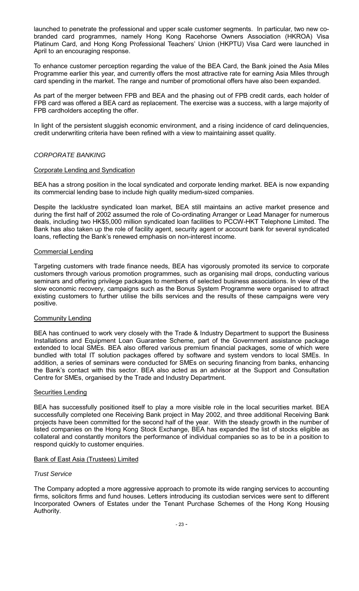launched to penetrate the professional and upper scale customer segments. In particular, two new cobranded card programmes, namely Hong Kong Racehorse Owners Association (HKROA) Visa Platinum Card, and Hong Kong Professional Teachers' Union (HKPTU) Visa Card were launched in April to an encouraging response.

To enhance customer perception regarding the value of the BEA Card, the Bank joined the Asia Miles Programme earlier this year, and currently offers the most attractive rate for earning Asia Miles through card spending in the market. The range and number of promotional offers have also been expanded.

As part of the merger between FPB and BEA and the phasing out of FPB credit cards, each holder of FPB card was offered a BEA card as replacement. The exercise was a success, with a large majority of FPB cardholders accepting the offer.

In light of the persistent sluggish economic environment, and a rising incidence of card delinquencies, credit underwriting criteria have been refined with a view to maintaining asset quality.

### **CORPORATE BANKING**

#### **Corporate Lending and Syndication**

BEA has a strong position in the local syndicated and corporate lending market. BEA is now expanding its commercial lending base to include high quality medium-sized companies.

Despite the lacklustre syndicated loan market, BEA still maintains an active market presence and during the first half of 2002 assumed the role of Co-ordinating Arranger or Lead Manager for numerous deals, including two HK\$5,000 million syndicated loan facilities to PCCW-HKT Telephone Limited. The Bank has also taken up the role of facility agent, security agent or account bank for several syndicated loans, reflecting the Bank's renewed emphasis on non-interest income.

#### **Commercial Lending**

Targeting customers with trade finance needs, BEA has vigorously promoted its service to corporate customers through various promotion programmes, such as organising mail drops, conducting various seminars and offering privilege packages to members of selected business associations. In view of the slow economic recovery, campaigns such as the Bonus System Programme were organised to attract existing customers to further utilise the bills services and the results of these campaigns were very positive.

#### **Community Lending**

BEA has continued to work very closely with the Trade & Industry Department to support the Business Installations and Equipment Loan Guarantee Scheme, part of the Government assistance package extended to local SMEs. BEA also offered various premium financial packages, some of which were bundled with total IT solution packages offered by software and system vendors to local SMEs. In addition, a series of seminars were conducted for SMEs on securing financing from banks, enhancing the Bank's contact with this sector. BEA also acted as an advisor at the Support and Consultation Centre for SMEs, organised by the Trade and Industry Department.

#### **Securities Lending**

BEA has successfully positioned itself to play a more visible role in the local securities market. BEA successfully completed one Receiving Bank project in May 2002, and three additional Receiving Bank projects have been committed for the second half of the year. With the steady growth in the number of listed companies on the Hong Kong Stock Exchange, BEA has expanded the list of stocks eligible as collateral and constantly monitors the performance of individual companies so as to be in a position to respond quickly to customer enquiries.

#### Bank of East Asia (Trustees) Limited

#### **Trust Service**

The Company adopted a more aggressive approach to promote its wide ranging services to accounting firms, solicitors firms and fund houses. Letters introducing its custodian services were sent to different Incorporated Owners of Estates under the Tenant Purchase Schemes of the Hong Kong Housing Authority.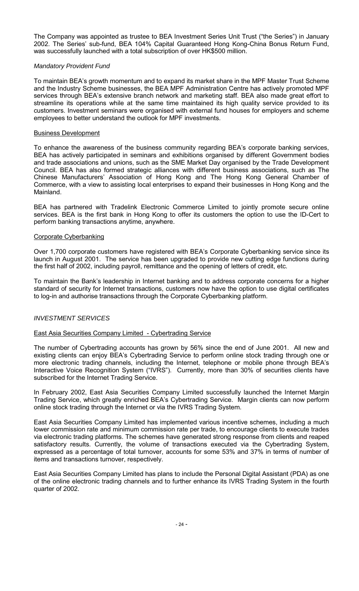The Company was appointed as trustee to BEA Investment Series Unit Trust ("the Series") in January 2002. The Series' sub-fund, BEA 104% Capital Guaranteed Hong Kong-China Bonus Return Fund, was successfully launched with a total subscription of over HK\$500 million.

### **Mandatory Provident Fund**

To maintain BEA's growth momentum and to expand its market share in the MPF Master Trust Scheme and the Industry Scheme businesses, the BEA MPF Administration Centre has actively promoted MPF services through BEA's extensive branch network and marketing staff. BEA also made great effort to streamline its operations while at the same time maintained its high quality service provided to its customers. Investment seminars were organised with external fund houses for employers and scheme employees to better understand the outlook for MPF investments.

#### **Business Development**

To enhance the awareness of the business community regarding BEA's corporate banking services, BEA has actively participated in seminars and exhibitions organised by different Government bodies and trade associations and unions, such as the SME Market Day organised by the Trade Development Council. BEA has also formed strategic alliances with different business associations, such as The Chinese Manufacturers' Association of Hong Kong and The Hong Kong General Chamber of Commerce, with a view to assisting local enterprises to expand their businesses in Hong Kong and the Mainland.

BEA has partnered with Tradelink Electronic Commerce Limited to jointly promote secure online services. BEA is the first bank in Hong Kong to offer its customers the option to use the ID-Cert to perform banking transactions anytime, anywhere.

### Corporate Cyberbanking

Over 1,700 corporate customers have registered with BEA's Corporate Cyberbanking service since its launch in August 2001. The service has been upgraded to provide new cutting edge functions during the first half of 2002, including payroll, remittance and the opening of letters of credit, etc.

To maintain the Bank's leadership in Internet banking and to address corporate concerns for a higher standard of security for Internet transactions, customers now have the option to use digital certificates to log-in and authorise transactions through the Corporate Cyberbanking platform.

### **INVESTMENT SERVICES**

### East Asia Securities Company Limited - Cybertrading Service

The number of Cybertrading accounts has grown by 56% since the end of June 2001. All new and existing clients can enjoy BEA's Cybertrading Service to perform online stock trading through one or more electronic trading channels, including the Internet, telephone or mobile phone through BEA's Interactive Voice Recognition System ("IVRS"). Currently, more than 30% of securities clients have subscribed for the Internet Trading Service.

In February 2002, East Asia Securities Company Limited successfully launched the Internet Margin Trading Service, which greatly enriched BEA's Cybertrading Service. Margin clients can now perform online stock trading through the Internet or via the IVRS Trading System.

East Asia Securities Company Limited has implemented various incentive schemes, including a much lower commission rate and minimum commission rate per trade, to encourage clients to execute trades via electronic trading platforms. The schemes have generated strong response from clients and reaped satisfactory results. Currently, the volume of transactions executed via the Cybertrading System, expressed as a percentage of total turnover, accounts for some 53% and 37% in terms of number of items and transactions turnover, respectively.

East Asia Securities Company Limited has plans to include the Personal Digital Assistant (PDA) as one of the online electronic trading channels and to further enhance its IVRS Trading System in the fourth quarter of 2002.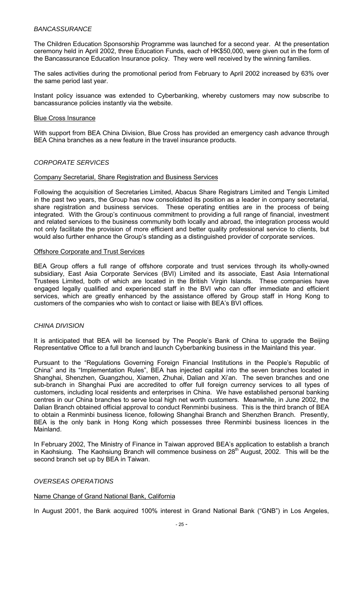### **BANCASSURANCE**

The Children Education Sponsorship Programme was launched for a second year. At the presentation ceremony held in April 2002, three Education Funds, each of HK\$50,000, were given out in the form of the Bancassurance Education Insurance policy. They were well received by the winning families.

The sales activities during the promotional period from February to April 2002 increased by 63% over the same period last year.

Instant policy issuance was extended to Cyberbanking, whereby customers may now subscribe to bancassurance policies instantly via the website.

#### **Blue Cross Insurance**

With support from BEA China Division, Blue Cross has provided an emergency cash advance through BEA China branches as a new feature in the travel insurance products.

#### **CORPORATE SERVICES**

#### Company Secretarial, Share Registration and Business Services

Following the acquisition of Secretaries Limited, Abacus Share Registrars Limited and Tengis Limited in the past two years, the Group has now consolidated its position as a leader in company secretarial, share registration and business services. These operating entities are in the process of being integrated. With the Group's continuous commitment to providing a full range of financial, investment and related services to the business community both locally and abroad, the integration process would not only facilitate the provision of more efficient and better quality professional service to clients, but would also further enhance the Group's standing as a distinguished provider of corporate services.

#### **Offshore Corporate and Trust Services**

BEA Group offers a full range of offshore corporate and trust services through its wholly-owned subsidiary, East Asia Corporate Services (BVI) Limited and its associate, East Asia International Trustees Limited, both of which are located in the British Virgin Islands. These companies have engaged legally qualified and experienced staff in the BVI who can offer immediate and efficient services, which are greatly enhanced by the assistance offered by Group staff in Hong Kong to customers of the companies who wish to contact or liaise with BEA's BVI offices.

#### CHINA DIVISION

It is anticipated that BEA will be licensed by The People's Bank of China to upgrade the Beijing Representative Office to a full branch and launch Cyberbanking business in the Mainland this year.

Pursuant to the "Regulations Governing Foreign Financial Institutions in the People's Republic of China" and its "Implementation Rules", BEA has injected capital into the seven branches located in Shanghai, Shenzhen, Guangzhou, Xiamen, Zhuhai, Dalian and Xi'an. The seven branches and one sub-branch in Shanghai Puxi are accredited to offer full foreign currency services to all types of customers, including local residents and enterprises in China. We have established personal banking centres in our China branches to serve local high net worth customers. Meanwhile, in June 2002, the Dalian Branch obtained official approval to conduct Renminbi business. This is the third branch of BEA to obtain a Renminbi business licence, following Shanghai Branch and Shenzhen Branch. Presently, BEA is the only bank in Hong Kong which possesses three Renminbi business licences in the Mainland.

In February 2002, The Ministry of Finance in Taiwan approved BEA's application to establish a branch in Kaohsiung. The Kaohsiung Branch will commence business on 28<sup>th</sup> August, 2002. This will be the second branch set up by BEA in Taiwan.

#### **OVERSEAS OPERATIONS**

#### Name Change of Grand National Bank, California

In August 2001, the Bank acquired 100% interest in Grand National Bank ("GNB") in Los Angeles,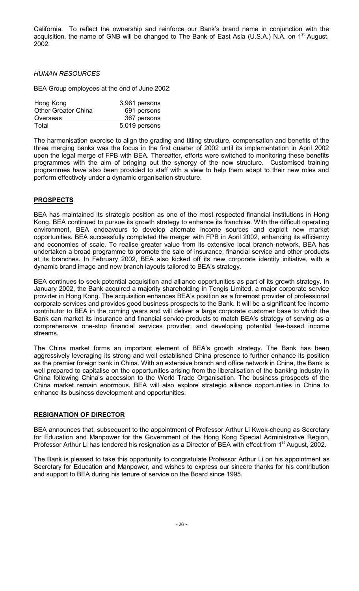California. To reflect the ownership and reinforce our Bank's brand name in conjunction with the acquisition, the name of GNB will be changed to The Bank of East Asia (U.S.A.) N.A. on 1<sup>st</sup> August, 2002.

#### **HUMAN RESOURCES**

BEA Group employees at the end of June 2002:

| Hong Kong                  | 3,961 persons |
|----------------------------|---------------|
| <b>Other Greater China</b> | 691 persons   |
| Overseas                   | 367 persons   |
| Total                      | 5,019 persons |

The harmonisation exercise to align the grading and titling structure, compensation and benefits of the three merging banks was the focus in the first quarter of 2002 until its implementation in April 2002 upon the legal merge of FPB with BEA. Thereafter, efforts were switched to monitoring these benefits programmes with the aim of bringing out the synergy of the new structure. Customised training programmes have also been provided to staff with a view to help them adapt to their new roles and perform effectively under a dynamic organisation structure.

## **PROSPECTS**

BEA has maintained its strategic position as one of the most respected financial institutions in Hong Kong. BEA continued to pursue its growth strategy to enhance its franchise. With the difficult operating environment, BEA endeavours to develop alternate income sources and exploit new market opportunities. BEA successfully completed the merger with FPB in April 2002, enhancing its efficiency and economies of scale. To realise greater value from its extensive local branch network, BEA has undertaken a broad programme to promote the sale of insurance, financial service and other products at its branches. In February 2002, BEA also kicked off its new corporate identity initiative, with a dynamic brand image and new branch layouts tailored to BEA's strategy.

BEA continues to seek potential acquisition and alliance opportunities as part of its growth strategy. In January 2002, the Bank acquired a majority shareholding in Tengis Limited, a major corporate service provider in Hong Kong. The acquisition enhances BEA's position as a foremost provider of professional corporate services and provides good business prospects to the Bank. It will be a significant fee income contributor to BEA in the coming years and will deliver a large corporate customer base to which the Bank can market its insurance and financial service products to match BEA's strategy of serving as a comprehensive one-stop financial services provider, and developing potential fee-based income streams.

The China market forms an important element of BEA's growth strategy. The Bank has been aggressively leveraging its strong and well established China presence to further enhance its position as the premier foreign bank in China. With an extensive branch and office network in China, the Bank is well prepared to capitalise on the opportunities arising from the liberalisation of the banking industry in China following China's accession to the World Trade Organisation. The business prospects of the China market remain enormous. BEA will also explore strategic alliance opportunities in China to enhance its business development and opportunities.

#### **RESIGNATION OF DIRECTOR**

BEA announces that, subsequent to the appointment of Professor Arthur Li Kwok-cheung as Secretary for Education and Manpower for the Government of the Hong Kong Special Administrative Region, Professor Arthur Li has tendered his resignation as a Director of BEA with effect from 1<sup>st</sup> August, 2002.

The Bank is pleased to take this opportunity to congratulate Professor Arthur Li on his appointment as Secretary for Education and Manpower, and wishes to express our sincere thanks for his contribution and support to BEA during his tenure of service on the Board since 1995.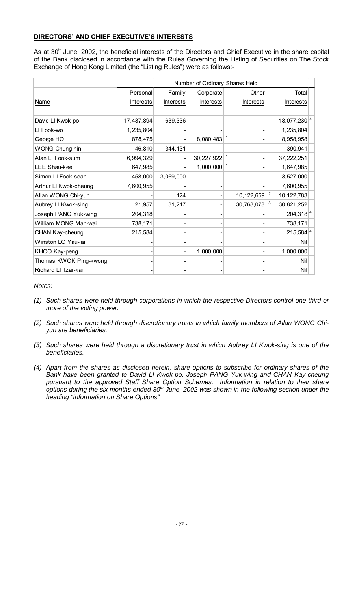### DIRECTORS' AND CHIEF EXECUTIVE'S INTERESTS

As at 30<sup>th</sup> June, 2002, the beneficial interests of the Directors and Chief Executive in the share capital of the Bank disclosed in accordance with the Rules Governing the Listing of Securities on The Stock Exchange of Hong Kong Limited (the "Listing Rules") were as follows:-

|                        | Number of Ordinary Shares Held |                  |                  |    |                  |  |                           |  |
|------------------------|--------------------------------|------------------|------------------|----|------------------|--|---------------------------|--|
|                        | Personal                       | Family           | Corporate        |    | Other            |  | Total                     |  |
| Name                   | <b>Interests</b>               | <b>Interests</b> | <b>Interests</b> |    | <b>Interests</b> |  | Interests                 |  |
|                        |                                |                  |                  |    |                  |  |                           |  |
| David LI Kwok-po       | 17,437,894                     | 639,336          |                  |    |                  |  | $18,077,230$ <sup>4</sup> |  |
| LI Fook-wo             | 1,235,804                      |                  |                  |    |                  |  | 1,235,804                 |  |
| George HO              | 878,475                        |                  | 8,080,483        |    |                  |  | 8,958,958                 |  |
| <b>WONG Chung-hin</b>  | 46,810                         | 344,131          |                  |    |                  |  | 390,941                   |  |
| Alan LI Fook-sum       | 6,994,329                      |                  | 30,227,922       |    |                  |  | 37,222,251                |  |
| LEE Shau-kee           | 647,985                        |                  | 1,000,000        |    |                  |  | 1,647,985                 |  |
| Simon LI Fook-sean     | 458,000                        | 3,069,000        |                  |    |                  |  | 3,527,000                 |  |
| Arthur LI Kwok-cheung  | 7,600,955                      |                  |                  |    |                  |  | 7,600,955                 |  |
| Allan WONG Chi-yun     |                                | 124              |                  |    | 10,122,659       |  | 10, 122, 783              |  |
| Aubrey LI Kwok-sing    | 21,957                         | 31,217           |                  |    | 30,768,078       |  | 30,821,252                |  |
| Joseph PANG Yuk-wing   | 204,318                        |                  |                  |    |                  |  | $204,318$ <sup>4</sup>    |  |
| William MONG Man-wai   | 738,171                        |                  |                  |    |                  |  | 738,171                   |  |
| CHAN Kay-cheung        | 215,584                        |                  |                  |    |                  |  | $215,584$ <sup>4</sup>    |  |
| Winston LO Yau-lai     |                                |                  |                  |    |                  |  | <b>Nil</b>                |  |
| KHOO Kay-peng          |                                |                  | 1,000,000        | -1 |                  |  | 1,000,000                 |  |
| Thomas KWOK Ping-kwong |                                |                  |                  |    |                  |  | Nil                       |  |
| Richard LI Tzar-kai    |                                |                  |                  |    |                  |  | Nil                       |  |

*Notes:* 

- *(1) Such shares were held through corporations in which the respective Directors control one-third or more of the voting power.*
- *(2) Such shares were held through discretionary trusts in which family members of Allan WONG Chiyun are beneficiaries.*
- *(3) Such shares were held through a discretionary trust in which Aubrey LI Kwok-sing is one of the beneficiaries.*
- *(4) Apart from the shares as disclosed herein, share options to subscribe for ordinary shares of the*  Bank have been granted to David LI Kwok-po, Joseph PANG Yuk-wing and CHAN Kay-cheung *pursuant to the approved Staff Share Option Schemes. Information in relation to their share*  options during the six months ended 30<sup>th</sup> June, 2002 was shown in the following section under the *heading "Information on Share Options".*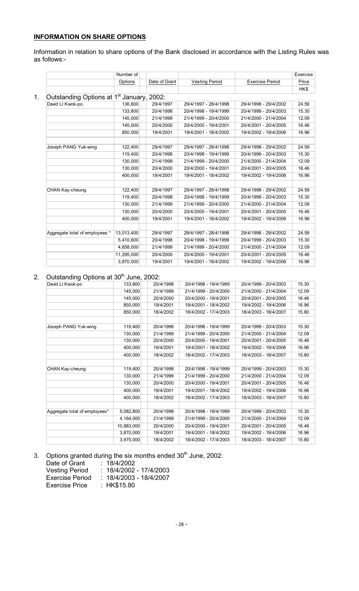# **INFORMATION ON SHARE OPTIONS**

Information in relation to share options of the Bank disclosed in accordance with the Listing Rules was as follows:-

|                                                       | Number of  |               |                       |                        | Exercise |
|-------------------------------------------------------|------------|---------------|-----------------------|------------------------|----------|
|                                                       | Options    | Date of Grant | <b>Vesting Period</b> | <b>Exercise Period</b> | Price    |
|                                                       |            |               |                       |                        | HK\$     |
| Outstanding Options at 1 <sup>st</sup> January, 2002: |            |               |                       |                        |          |
| David LI Kwok-po                                      | 136,800    | 29/4/1997     | 29/4/1997 - 28/4/1998 | 29/4/1998 - 29/4/2002  | 24.59    |
|                                                       | 133,800    | 20/4/1998     | 20/4/1998 - 19/4/1999 | 20/4/1999 - 20/4/2003  | 15.30    |
|                                                       | 145,000    | 21/4/1999     | 21/4/1999 - 20/4/2000 | 21/4/2000 - 21/4/2004  | 12.09    |
|                                                       | 145,000    | 20/4/2000     | 20/4/2000 - 19/4/2001 | 20/4/2001 - 20/4/2005  | 16.46    |
|                                                       | 850.000    | 19/4/2001     | 19/4/2001 - 18/4/2002 | 19/4/2002 - 19/4/2006  | 16.96    |
| Joseph PANG Yuk-wing                                  | 122.400    | 29/4/1997     | 29/4/1997 - 28/4/1998 | 29/4/1998 - 29/4/2002  | 24.59    |
|                                                       | 119,400    | 20/4/1998     | 20/4/1998 - 19/4/1999 | 20/4/1999 - 20/4/2003  | 15.30    |
|                                                       | 130,000    | 21/4/1999     | 21/4/1999 - 20/4/2000 | 21/4/2000 - 21/4/2004  | 12.09    |
|                                                       | 130,000    | 20/4/2000     | 20/4/2000 - 19/4/2001 | 20/4/2001 - 20/4/2005  | 16.46    |
|                                                       | 400,000    | 19/4/2001     | 19/4/2001 - 18/4/2002 | 19/4/2002 - 19/4/2006  | 16.96    |
| CHAN Kay-cheung                                       | 122,400    | 29/4/1997     | 29/4/1997 - 28/4/1998 | 29/4/1998 - 29/4/2002  | 24.59    |
|                                                       | 119,400    | 20/4/1998     | 20/4/1998 - 19/4/1999 | 20/4/1999 - 20/4/2003  | 15.30    |
|                                                       | 130.000    | 21/4/1999     | 21/4/1999 - 20/4/2000 | 21/4/2000 - 21/4/2004  | 12.09    |
|                                                       | 130,000    | 20/4/2000     | 20/4/2000 - 19/4/2001 | 20/4/2001 - 20/4/2005  | 16.46    |
|                                                       | 400,000    | 19/4/2001     | 19/4/2001 - 18/4/2002 | 19/4/2002 - 19/4/2006  | 16.96    |
| Aggregate total of employees *                        | 13.013.400 | 29/4/1997     | 29/4/1997 - 28/4/1998 | 29/4/1998 - 29/4/2002  | 24.59    |
|                                                       | 5,410,600  | 20/4/1998     | 20/4/1998 - 19/4/1999 | 20/4/1999 - 20/4/2003  | 15.30    |
|                                                       | 4,658,000  | 21/4/1999     | 21/4/1999 - 20/4/2000 | 21/4/2000 - 21/4/2004  | 12.09    |
|                                                       | 11,295,000 | 20/4/2000     | 20/4/2000 - 19/4/2001 | 20/4/2001 - 20/4/2005  | 16.46    |
|                                                       | 3,870,000  | 19/4/2001     | 19/4/2001 - 18/4/2002 | 19/4/2002 - 19/4/2006  | 16.96    |

# 2. Outstanding Options at 30<sup>th</sup> June, 2002:

| David LI Kwok-po              | 133,800    | 20/4/1998 | 20/4/1998 - 19/4/1999 | 20/4/1999 - 20/4/2003 | 15.30 |
|-------------------------------|------------|-----------|-----------------------|-----------------------|-------|
|                               | 145,000    | 21/4/1999 | 21/4/1999 - 20/4/2000 | 21/4/2000 - 21/4/2004 | 12.09 |
|                               | 145,000    | 20/4/2000 | 20/4/2000 - 19/4/2001 | 20/4/2001 - 20/4/2005 | 16.46 |
|                               | 850.000    | 19/4/2001 | 19/4/2001 - 18/4/2002 | 19/4/2002 - 19/4/2006 | 16.96 |
|                               | 850,000    | 18/4/2002 | 18/4/2002 - 17/4/2003 | 18/4/2003 - 18/4/2007 | 15.80 |
|                               |            |           |                       |                       |       |
| Joseph PANG Yuk-wing          | 119,400    | 20/4/1998 | 20/4/1998 - 19/4/1999 | 20/4/1999 - 20/4/2003 | 15.30 |
|                               | 130,000    | 21/4/1999 | 21/4/1999 - 20/4/2000 | 21/4/2000 - 21/4/2004 | 12.09 |
|                               | 130,000    | 20/4/2000 | 20/4/2000 - 19/4/2001 | 20/4/2001 - 20/4/2005 | 16.46 |
|                               | 400,000    | 19/4/2001 | 19/4/2001 - 18/4/2002 | 19/4/2002 - 19/4/2006 | 16.96 |
|                               | 400,000    | 18/4/2002 | 18/4/2002 - 17/4/2003 | 18/4/2003 - 18/4/2007 | 15.80 |
|                               |            |           |                       |                       |       |
| CHAN Kay-cheung               | 119,400    | 20/4/1998 | 20/4/1998 - 19/4/1999 | 20/4/1999 - 20/4/2003 | 15.30 |
|                               | 130,000    | 21/4/1999 | 21/4/1999 - 20/4/2000 | 21/4/2000 - 21/4/2004 | 12.09 |
|                               | 130,000    | 20/4/2000 | 20/4/2000 - 19/4/2001 | 20/4/2001 - 20/4/2005 | 16.46 |
|                               | 400,000    | 19/4/2001 | 19/4/2001 - 18/4/2002 | 19/4/2002 - 19/4/2006 | 16.96 |
|                               | 400.000    | 18/4/2002 | 18/4/2002 - 17/4/2003 | 18/4/2003 - 18/4/2007 | 15.80 |
|                               |            |           |                       |                       |       |
| Aggregate total of employees* | 5,082,800  | 20/4/1998 | 20/4/1998 - 19/4/1999 | 20/4/1999 - 20/4/2003 | 15.30 |
|                               | 4,164,000  | 21/4/1999 | 21/4/1999 - 20/4/2000 | 21/4/2000 - 21/4/2004 | 12.09 |
|                               | 10,883,000 | 20/4/2000 | 20/4/2000 - 19/4/2001 | 20/4/2001 - 20/4/2005 | 16.46 |
|                               | 3,870,000  | 19/4/2001 | 19/4/2001 - 18/4/2002 | 19/4/2002 - 19/4/2006 | 16.96 |
|                               | 3,975,000  | 18/4/2002 | 18/4/2002 - 17/4/2003 | 18/4/2003 - 18/4/2007 | 15.80 |

3. Options granted during the six months ended 30<sup>th</sup> June, 2002:

| Date of Grant          | : 18/4/2002               |
|------------------------|---------------------------|
|                        |                           |
| <b>Vesting Period</b>  | $: 18/4/2002 - 17/4/2003$ |
| <b>Exercise Period</b> | $: 18/4/2003 - 18/4/2007$ |
| <b>Exercise Price</b>  | : HK\$15.80               |
|                        |                           |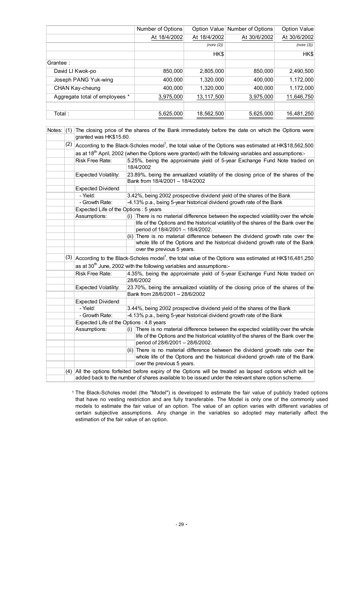|                                | Number of Options | Option Value | Number of Options | Option Value |
|--------------------------------|-------------------|--------------|-------------------|--------------|
|                                | At 18/4/2002      | At 18/4/2002 | At 30/6/2002      | At 30/6/2002 |
|                                |                   | (note (2))   |                   | (note(3))    |
|                                |                   | HK\$         |                   | HK\$         |
| Grantee:                       |                   |              |                   |              |
| David LI Kwok-po               | 850,000           | 2,805,000    | 850,000           | 2,490,500    |
| Joseph PANG Yuk-wing           | 400,000           | 1,320,000    | 400,000           | 1,172,000    |
| CHAN Kay-cheung                | 400,000           | 1,320,000    | 400,000           | 1,172,000    |
| Aggregate total of employees * | 3,975,000         | 13,117,500   | 3,975,000         | 11,646,750   |
|                                |                   |              |                   |              |
| Total:                         | 5,625,000         | 18,562,500   | 5,625,000         | 16,481,250   |

|     | Notes: $(1)$ The closing price of the shares of the Bank immediately before the date on which the Options were<br>granted was HK\$15.60.                                                                        |                                                                                                                                                                                                                   |  |  |
|-----|-----------------------------------------------------------------------------------------------------------------------------------------------------------------------------------------------------------------|-------------------------------------------------------------------------------------------------------------------------------------------------------------------------------------------------------------------|--|--|
|     | $(2)$ According to the Black-Scholes model <sup>1</sup> , the total value of the Options was estimated at HK\$18,562,500                                                                                        |                                                                                                                                                                                                                   |  |  |
|     |                                                                                                                                                                                                                 | as at 18 <sup>th</sup> April, 2002 (when the Options were granted) with the following variables and assumptions:-                                                                                                 |  |  |
|     | Risk Free Rate:                                                                                                                                                                                                 | 5.25%, being the approximate yield of 5-year Exchange Fund Note traded on<br>18/4/2002                                                                                                                            |  |  |
|     | <b>Expected Volatility:</b>                                                                                                                                                                                     | 23.89%, being the annualized volatility of the closing price of the shares of the<br>Bank from 18/4/2001 - 18/4/2002                                                                                              |  |  |
|     | <b>Expected Dividend</b>                                                                                                                                                                                        |                                                                                                                                                                                                                   |  |  |
|     | - Yield:                                                                                                                                                                                                        | 3.42%, being 2002 prospective dividend yield of the shares of the Bank                                                                                                                                            |  |  |
|     | - Growth Rate:                                                                                                                                                                                                  | -4.13% p.a., being 5-year historical dividend growth rate of the Bank                                                                                                                                             |  |  |
|     | Expected Life of the Options : 5 years                                                                                                                                                                          |                                                                                                                                                                                                                   |  |  |
|     | Assumptions:                                                                                                                                                                                                    | There is no material difference between the expected volatility over the whole<br>(i)<br>life of the Options and the historical volatility of the shares of the Bank over the<br>period of 18/4/2001 - 18/4/2002. |  |  |
|     |                                                                                                                                                                                                                 | $(ii)$ There is no material difference between the dividend growth rate over the<br>whole life of the Options and the historical dividend growth rate of the Bank<br>over the previous 5 years.                   |  |  |
| (3) |                                                                                                                                                                                                                 | According to the Black-Scholes model <sup>1</sup> , the total value of the Options was estimated at HK\$16,481,250                                                                                                |  |  |
|     |                                                                                                                                                                                                                 | as at $30th$ June, 2002 with the following variables and assumptions:-                                                                                                                                            |  |  |
|     | Risk Free Rate:                                                                                                                                                                                                 | 4.35%, being the approximate yield of 5-year Exchange Fund Note traded on<br>28/6/2002                                                                                                                            |  |  |
|     | <b>Expected Volatility:</b>                                                                                                                                                                                     | 23.70%, being the annualized volatility of the closing price of the shares of the<br>Bank from 28/6/2001 - 28/6/2002                                                                                              |  |  |
|     | <b>Expected Dividend</b>                                                                                                                                                                                        |                                                                                                                                                                                                                   |  |  |
|     | - Yield:                                                                                                                                                                                                        | 3.44%, being 2002 prospective dividend yield of the shares of the Bank                                                                                                                                            |  |  |
|     | - Growth Rate:                                                                                                                                                                                                  | -4.13% p.a., being 5-year historical dividend growth rate of the Bank                                                                                                                                             |  |  |
|     | Expected Life of the Options: 4.8 years                                                                                                                                                                         |                                                                                                                                                                                                                   |  |  |
|     | Assumptions:                                                                                                                                                                                                    | (i) There is no material difference between the expected volatility over the whole                                                                                                                                |  |  |
|     |                                                                                                                                                                                                                 | life of the Options and the historical volatility of the shares of the Bank over the                                                                                                                              |  |  |
|     |                                                                                                                                                                                                                 | period of 28/6/2001 - 28/6/2002.                                                                                                                                                                                  |  |  |
|     |                                                                                                                                                                                                                 | $(ii)$ There is no material difference between the dividend growth rate over the<br>whole life of the Options and the historical dividend growth rate of the Bank<br>over the previous 5 years.                   |  |  |
|     | (4) All the options forfeited before expiry of the Options will be treated as lapsed options which will be<br>added back to the number of shares available to be issued under the relevant share option scheme. |                                                                                                                                                                                                                   |  |  |

<sup>1</sup> The Black-Scholes model (the "Model") is developed to estimate the fair value of publicly traded options that have no vesting restriction and are fully transferable. The Model is only one of the commonly used<br>models to estimate the fair value of an option. The value of an option varies with different variables of<br>certain subj estimation of the fair value of an option.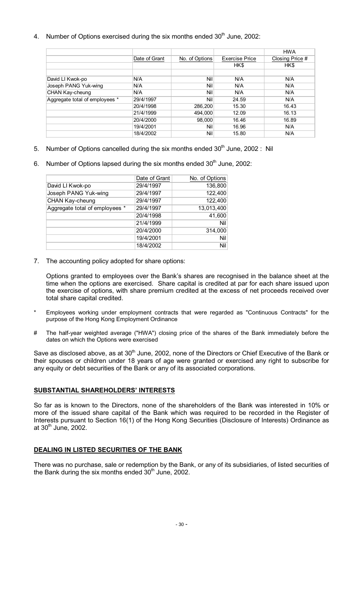### 4. Number of Options exercised during the six months ended 30<sup>th</sup> June, 2002:

|                                |               |                |                       | <b>HWA</b>      |
|--------------------------------|---------------|----------------|-----------------------|-----------------|
|                                | Date of Grant | No. of Options | <b>Exercise Price</b> | Closing Price # |
|                                |               |                | HK\$                  | HK\$            |
|                                |               |                |                       |                 |
| David LI Kwok-po               | N/A           | Nil            | N/A                   | N/A             |
| Joseph PANG Yuk-wing           | N/A           | <b>Nil</b>     | N/A                   | N/A             |
| CHAN Kay-cheung                | N/A           | Nil            | N/A                   | N/A             |
| Aggregate total of employees * | 29/4/1997     | <b>Nil</b>     | 24.59                 | N/A             |
|                                | 20/4/1998     | 286,200        | 15.30                 | 16.43           |
|                                | 21/4/1999     | 494.000        | 12.09                 | 16.13           |
|                                | 20/4/2000     | 98,000         | 16.46                 | 16.89           |
|                                | 19/4/2001     | <b>Nil</b>     | 16.96                 | N/A             |
|                                | 18/4/2002     | <b>Nil</b>     | 15.80                 | N/A             |

- 5. Number of Options cancelled during the six months ended 30<sup>th</sup> June, 2002 : Nil
- 6. Number of Options lapsed during the six months ended  $30<sup>th</sup>$  June, 2002:

|                                | Date of Grant | No. of Options |
|--------------------------------|---------------|----------------|
| David LI Kwok-po               | 29/4/1997     | 136,800        |
| Joseph PANG Yuk-wing           | 29/4/1997     | 122,400        |
| CHAN Kay-cheung                | 29/4/1997     | 122,400        |
| Aggregate total of employees * | 29/4/1997     | 13,013,400     |
|                                | 20/4/1998     | 41,600         |
|                                | 21/4/1999     | Nil            |
|                                | 20/4/2000     | 314,000        |
|                                | 19/4/2001     | Nil            |
|                                | 18/4/2002     | Nil            |

7. The accounting policy adopted for share options:

Options granted to employees over the Bank's shares are recognised in the balance sheet at the time when the options are exercised. Share capital is credited at par for each share issued upon the exercise of options, with share premium credited at the excess of net proceeds received over total share capital credited.

- Employees working under employment contracts that were regarded as "Continuous Contracts" for the purpose of the Hong Kong Employment Ordinance
- The half-year weighted average ("HWA") closing price of the shares of the Bank immediately before the  $#$ dates on which the Options were exercised

Save as disclosed above, as at 30<sup>th</sup> June, 2002, none of the Directors or Chief Executive of the Bank or their spouses or children under 18 years of age were granted or exercised any right to subscribe for any equity or debt securities of the Bank or any of its associated corporations.

### SUBSTANTIAL SHAREHOLDERS' INTERESTS

So far as is known to the Directors, none of the shareholders of the Bank was interested in 10% or more of the issued share capital of the Bank which was required to be recorded in the Register of Interests pursuant to Section 16(1) of the Hong Kong Securities (Disclosure of Interests) Ordinance as at  $30<sup>th</sup>$  June, 2002.

### **DEALING IN LISTED SECURITIES OF THE BANK**

There was no purchase, sale or redemption by the Bank, or any of its subsidiaries, of listed securities of the Bank during the six months ended 30<sup>th</sup> June, 2002.